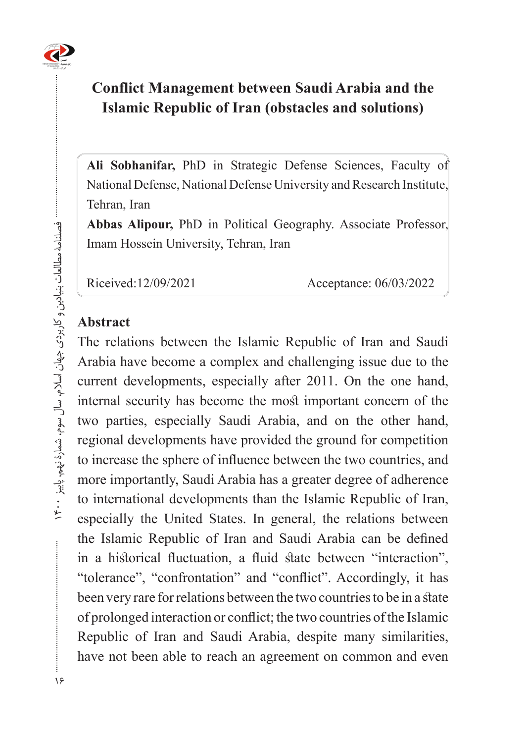# **Conflict Management between Saudi Arabia and the Islamic Republic of Iran (obstacles and solutions)**

Ali Sobhanifar, PhD in Strategic Defense Sciences, Faculty of National Defense, National Defense University and Research Institute, Tehran, Iran

Abbas Alipour, PhD in Political Geography. Associate Professor, Imam Hossein University, Tehran, Iran

Riceived:12/09/2021 Acceptance: 06/03/2022

#### **Abstract**

The relations between the Islamic Republic of Iran and Saudi Arabia have become a complex and challenging issue due to the current developments, especially after 2011. On the one hand, internal security has become the most important concern of the two parties, especially Saudi Arabia, and on the other hand, regional developments have provided the ground for competition to increase the sphere of influence between the two countries, and more importantly, Saudi Arabia has a greater degree of adherence to international developments than the Islamic Republic of Iran, especially the United States. In general, the relations between the Islamic Republic of Iran and Saudi Arabia can be defined in a historical fluctuation, a fluid state between "interaction", "tolerance", "confrontation" and "conflict". Accordingly, it has been very rare for relations between the two countries to be in a state of prolonged interaction or conflict; the two countries of the Islamic Republic of Iran and Saudi Arabia, despite many similarities, have not been able to reach an agreement on common and even

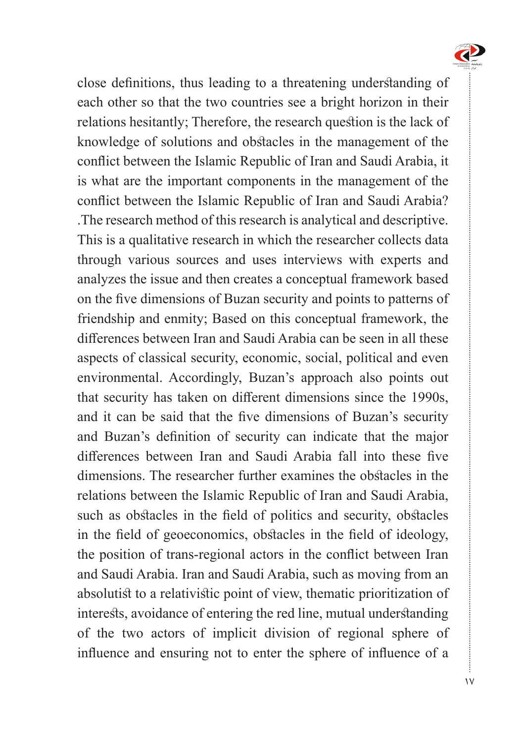

close definitions, thus leading to a threatening understanding of each other so that the two countries see a bright horizon in their relations hesitantly; Therefore, the research question is the lack of knowledge of solutions and obstacles in the management of the conflict between the Islamic Republic of Iran and Saudi Arabia, it is what are the important components in the management of the conflict between the Islamic Republic of Iran and Saudi Arabia? . The research method of this research is analytical and descriptive. This is a qualitative research in which the researcher collects data through various sources and uses interviews with experts and analyzes the issue and then creates a conceptual framework based on the five dimensions of Buzan security and points to patterns of friendship and enmity; Based on this conceptual framework, the differences between Iran and Saudi Arabia can be seen in all these aspects of classical security, economic, social, political and even environmental. Accordingly, Buzan's approach also points out that security has taken on different dimensions since the 1990s, and it can be said that the five dimensions of Buzan's security and Buzan's definition of security can indicate that the major differences between Iran and Saudi Arabia fall into these five dimensions. The researcher further examines the obstacles in the relations between the Islamic Republic of Iran and Saudi Arabia, such as obstacles in the field of politics and security, obstacles in the field of geoeconomics, obstacles in the field of ideology, the position of trans-regional actors in the conflict between Iran and Saudi Arabia. Iran and Saudi Arabia, such as moving from an absolutist to a relativistic point of view, thematic prioritization of interests, avoidance of entering the red line, mutual understanding of the two actors of implicit division of regional sphere of influence and ensuring not to enter the sphere of influence of a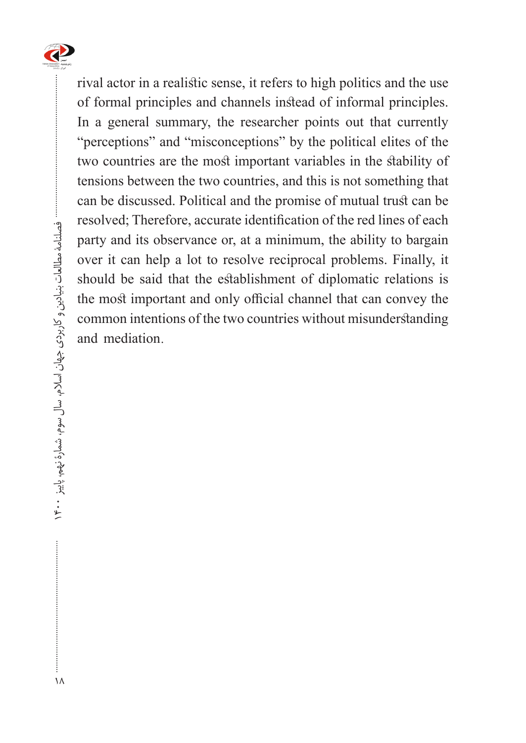

rival actor in a realistic sense, it refers to high politics and the use of formal principles and channels instead of informal principles. In a general summary, the researcher points out that currently "perceptions" and "misconceptions" by the political elites of the two countries are the most important variables in the stability of tensions between the two countries, and this is not something that can be discussed. Political and the promise of mutual trust can be resolved; Therefore, accurate identification of the red lines of each party and its observance or, at a minimum, the ability to bargain over it can help a lot to resolve reciprocal problems. Finally, it should be said that the establishment of diplomatic relations is the most important and only official channel that can convey the common intentions of the two countries without misunderstanding and mediation.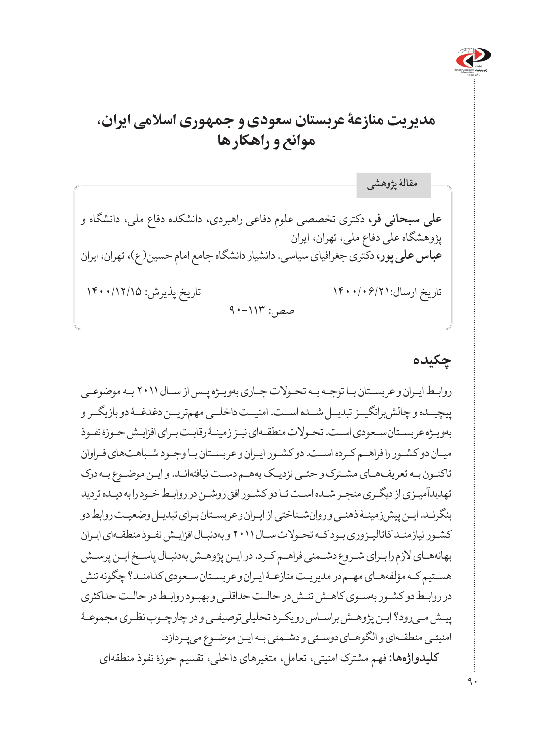

# **مدیریت منازعۀ عربستان سعودی و جمهوری اسالمی ایران، موانع و راهکارها**

**علی سبحانی فر،** دکتری تخصصی علوم دفاعی راهبردی، دانشکده دفاع ملی، دانشگاه و پژوهشگاه علی دفاع ملی، تهران، ایران **عباس علی پور،** دکتری جغرافیای سیاسی. دانشیار دانشگاه جامع امام حسین) ع(، تهران، ایران تاریخ ارسال1400/06/21: تاریخ پذیرش: 1400/12/15 صص: ١١٣-٩٠ **مقالۀ پژوهشی**

### **چکیده**

روابـط ایـران و عربسـتان بـا توجـه بـه تحـوالت جـاری بهویـژه پـس از سـال 2011 بـه موضوعـی پیچیـــده و چالش برانگیــز تبدیــل شـــده اســت. امنیــت داخلــی مهمتریــن دغدغــۀ دو بازیگــر و بهویـژه عربسـتان سـعودی اسـت. تحـوالت منطقـهای نیـز زمینـۀ رقابـت بـرای افزایـش حـوزۀ نفـوذ میـان دو کشـور را فراهـم کـرده اسـت. دو کشـور ایـران و عربسـتان بـا وجـود شـباهتهای فـراوان تاکنـون بـه تعریفهـای مشـترک و حتـی نزدیـک بههـم دسـت نیافتهانـد. و ایـن موضـوع بـه درک تهدیدآمیـزی از دیگـری منجـر شـده اسـت تـا دو کشـور افق روشـن در روابـط خـود را به دیـده تردید بنگرنـد. ایـن پیشزمینـۀ ذهنـی و روانشـناختی از ایـران و عربسـتان بـرای تبدیـل وضعیـت روابط دو کشـور نیازمنـد کاتالیـزوری بـود کـه تحـوالت سـال 2011 و بهدنبـال افزایـش نفـوذ منطقـهای ایـران بهانههـای الزم را بـرای شـروع دشـمنی فراهـم کـرد. در ایـن پژوهـش بهدنبـال پاسـخ ایـن پرسـش هسـتیم کـه مؤلفههـای مهـم در مدیریـت منازعـۀ ایـران و عربسـتان سـعودی کدامنـد؟ چگونه تنش در روابـط دو کشـور بهسـوی کاهـش تنـش در حالـت حداقلـی و بهبـود روابـط در حالـت حداکثری پیـش مـیرود؟ ایـن پژوهـش براسـاس رویکـرد تحلیلیتوصیفـی و در چارچـوب نظـری مجموعـۀ امنیتـی منطقـهای و الگوهـای دوسـتی و دشـمنی بـه ایـن موضـوع میپـردازد. **کلیدواژهها:** فهم مشترک امنیتی، تعامل، متغیرهای داخلی، تقسیم حوزۀ نفوذ منطقهای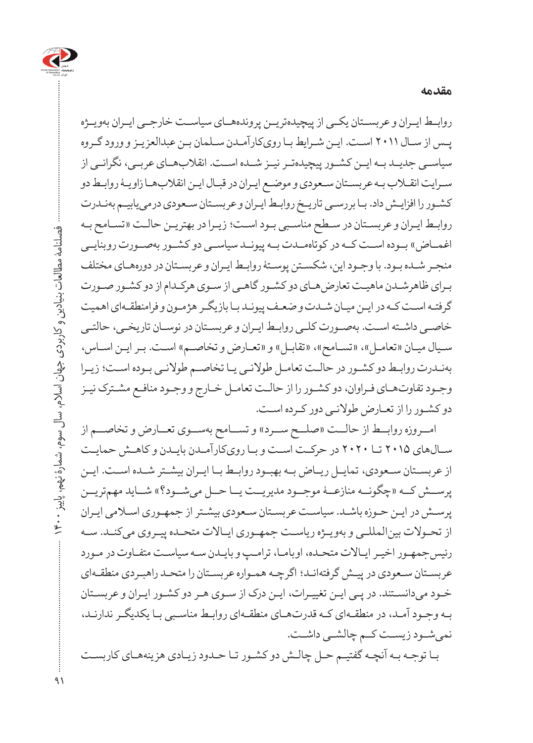

روابــط ایــران و عربســتان یکــی از پیچیدهتریــن پروندههــای سیاســت خارجــی ایــران بهویــژه پـس از سـال 2011 اسـت. ایـن شـرایط بـا رویکارآمـدن سـلمان بـن عبدالعزیـز و ورود گـروه سیاســی جدیــد بــه ایــن کشــور پیچیدهتــر نیــز شــده اســت. انقالبهــای عربــی، نگرانــی از سـرایت انقـاب بـه عربسـتان سـعودی و موضـع ایـران در قبـال ایـن انقالبهـا زاویـۀ روابـط دو کشـور را افزایـش داد. بـا بررسـی تاریـخ روابـط ایـران و عربسـتان سـعودی درمییابیـم بهنـدرت روابـط ایـران و عربسـتان در سـطح مناسـبی بـود اسـت؛ زیـرا در بهتریـن حالـت »تسـامح بـه اغمــاض» بــوده اســت کــه در کوتاهمــدت بــه پیونــد سیاســی دو کشــور بهصــورت روبنایــی منجـر شـده بـود. با وجـود این، شکسـتن پوسـتۀ روابـط ایـران و عربسـتان در دورههـای مختلف بـرای ظاهرشـدن ماهیـت تعارضهـای دو کشـور گاهـی از سـوی هرکـدام از دو کشـور صـورت گرفتـه اسـت کـه در ایـن میـان شـدت و ضعـف پیونـد بـا بازیگـر هژمـون و فرامنطقـهای اهمیت خاصـی داشـته اسـت. بهصـورت کلـی روابـط ایـران و عربسـتان در نوسـان تاریخـی، حالتـی سـیال میـان «تعامـل»، «تسـامح»، «تقابـل» و «تعـارض و تخاصـم» اسـت. بـر ایـن اسـاس، بهنـدرت روابـط دو کشـور در حالـت تعامـل طوالنـی یـا تخاصـم طوالنـی بـوده اسـت؛ زیـرا وجـود تفاوتهـای فـراوان، دو کشـور را از حالـت تعامـل خـارج و وجـود منافـع مشـترک نیـز دو کشـور را از تعـارض طوالنـی دور کـرده اسـت.

**مقدمه** 

 امــروزه روابــط از حالــت »صلــح ســرد« و تســامح بهســوی تعــارض و تخاصــم از سـالهای 2015 تـا 2020 در حرکـت اسـت و بـا رویکارآمـدن بایـدن و کاهـش حمایـت از عربســتان ســعودی، تمایــل ریــاض بــه بهبــود روابــط بــا ایــران بیشــتر شــده اســت. ایــن پرســش کــه »چگونــه منازعــۀ موجــود مدیریــت یــا حــل میشــود؟« شــاید مهمتریــن پرسـش در ایـن حـوزه باشـد. سیاسـت عربسـتان سـعودی بیشـتر از جمهـوری اسـامی ایـران از تحـوالت بینالمللـی و بهویـژه ریاسـت جمهـوری ایـاالت متحـده پیـروی میکنـد. سـه رئیسجمهـور اخیـر ایـاالت متحـده، اوبامـا، ترامـپ و بایـدن سـه سیاسـت متفـاوت در مـورد عربسـتان سـعودی در پیـش گرفتهانـد؛ اگرچـه همـواره عربسـتان را متحـد راهبـردی منطقـهای خـود میدانسـتند. در پـی ایـن تغییـرات، ایـن درک از سـوی هـر دو کشـور ایـران و عربسـتان بـه وجـود آمـد، در منطقـهای کـه قدرتهـای منطقـهای روابـط مناسـبی بـا یکدیگـر ندارنـد، نمیشــود زیســت کــم چالشــی داشــت.

بـا توجـه بـه آنچـه گفتیـم حـل چالـش دو کشـور تـا حـدود زیـادی هزینههـای کاربسـت

فصلنامۀ مطالعات بنیادین و کاربردی جهان اسالم، سال سوم، شمارۀ نهم، پاییز 1400

فصلنامه مطالعات بنيادين و کاربردۍ جهان اسلام، سال سوم، شمارهٔ نهم، پاییز ۴۰۰۰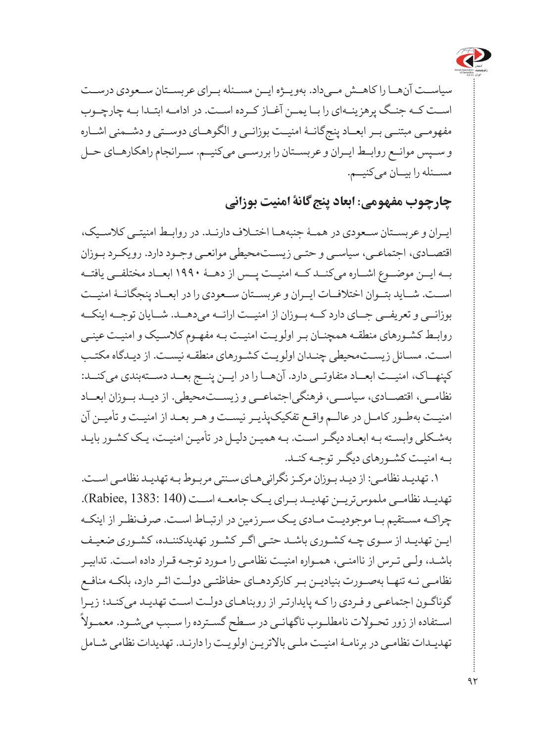

سیاســت آنهــا را کاهــش مــیداد. بهویــژه ایــن مســئله بــرای عربســتان ســعودی درســت اســت کــه جنــگ پرهزینــهای را بــا یمــن آغــاز کــرده اســت. در ادامــه ابتــدا بــه چارچــوب مفهومــی مبتنــی بــر ابعــاد پنجگانــۀ امنیــت بوزانــی و الگوهــای دوســتی و دشــمنی اشــاره و ســپس موانــع روابــط ایــران و عربســتان را بررســی میکنیــم. ســرانجام راهکارهــای حــل مســئله را بیــان میکنیــم.

### **چارچوب مفهومی: ابعاد پنجگانۀ امنیت بوزانی**

ایـران و عربسـتان ســعودی در همـۀ جنبههــا اختـاف دارنــد. در روابـط امنیتـی کالسـیک، اقتصـادی، اجتماعـی، سیاسـی و حتـی زیسـتمحیطی موانعـی وجـود دارد. رویکـرد بـوزان بــه ایــن موضــوع اشــاره میکنــد کــه امنیــت پــس از دهــۀ ۱۹۹۰ ابعــاد مختلفــی یافتــه اســت. شــاید بتــوان اختالفــات ایــران و عربســتان ســعودی را در ابعــاد پنجگانــۀ امنیــت بوزانــی و تعریفــی جــای دارد کــه بــوزان از امنیــت ارائــه میدهــد. شــایان توجــه اینکــه روابـط کشـورهای منطقـه همچنـان بـر اولویـت امنیـت بـه مفهـوم کالسـیک و امنیـت عینـی اسـت. مسـائل زیسـتمحیطی چنـدان اولویـت کشـورهای منطقـه نیسـت. از دیـدگاه مکتـب کپنهــاک، امنیــت ابعــاد متفاوتــی دارد. آنهــا را در ایــن پنــج بعــد دســتهبندی میکنــد: نظامــی، اقتصــادی، سیاســی، فرهنگیاجتماعــی و زیســتمحیطی. از دیــد بــوزان ابعــاد امنیـت بهطـور کامـل در عالـم واقـع تفکیکپذیـر نیسـت و هـر بعـد از امنیـت و تأمیـن آن بهشـکلی وابسـته بـه ابعـاد دیگـر اسـت. بـه همیـن دلیـل در تأمیـن امنیـت، یـک کشـور بایـد بـه امنیـت کشـورهای دیگـر توجـه کنـد.

.1 تهدیـد نظامـی: از دیـد بـوزان مرکـز نگرانیهـای سـنتی مربـوط بـه تهدیـد نظامـی اسـت. تهدیــد نظامــی ملموستریــن تهدیــد بــرای یــک جامعــه اســت (140 1383: ,Rabiee). چراکـه مسـتقیم بـا موجودیـت مـادی یـک سـرزمین در ارتبـاط اسـت. صرفنظـر از اینکـه ایـن تهدیـد از سـوی چـه کشـوری باشـد حتـی اگـر کشـور تهدیدکننـده، کشـوری ضعیـف باشـد، ولـی تـرس از ناامنـی، همـواره امنیـت نظامـی را مـورد توجـه قـرار داده اسـت. تدابیـر نظامـی نـه تنهـا بهصـورت بنیادیـن بـر کارکردهـای حفاظتـی دولـت اثـر دارد، بلکـه منافـع ً گوناگـون اجتماعـی و فـردی را کـه پایدارتـر از روبناهـای دولـت اسـت تهدیـد میکنـد؛ زیـرا اسـتفاده از زور تحـوالت نامطلـوب ناگهانـی در سـطح گسـترده را سـبب میشـود. معمـوال تهدیـدات نظامـی در برنامـۀ امنیـت ملـی باالتریـن اولویـت را دارنـد. تهدیدات نظامی شـامل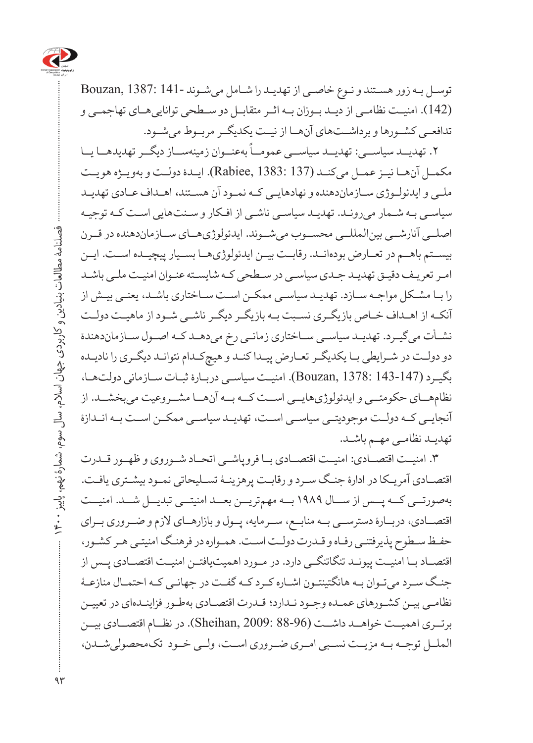

توسـل بـه زور هسـتند و نـوع خاصـی از تهدیـد را شـامل میشـوند 141- 1387: ,Bouzan (142(. امنیــت نظامــی از دیــد بــوزان بــه اثــر متقابــل دو ســطحی تواناییهــای تهاجمــی و تدافعــی کشــورها و برداشــتهای آنهــا از نیــت یکدیگــر مربــوط میشــود.

۔<br>۲. تهدیــد سیاســـی: تهدیــد سیاســـی عمومــاً بهعنــوان زمینهســاز دیگــر تهدیدهــا یــا مکمــل آنهــا نیــز عمــل میکنــد (137 1383: ,Rabiee(. ایــدۀ دولــت و بهویــژه هویــت ملـی و ایدئولـوژی سـازماندهنده و نهادهایـی کـه نمـود آن هسـتند، اهـداف عـادی تهدیـد سیاسـی بـه شـمار میرونـد. تهدیـد سیاسـی ناشـی از افـکار و سـنتهایی اسـت کـه توجیـه اصلــی آنارشــی بینالمللــی محســوب میشــوند. ایدئولوژیهــای ســازماندهنده در قــرن بیســتم باهــم در تعــارض بودهانــد. رقابــت بیــن ایدئولوژیهــا بســیار پیچیــده اســت. ایــن امـر تعریـف دقیـق تهدیـد جـدی سیاسـی در سـطحی کـه شایسـته عنـوان امنیـت ملـی باشـد را بـا مشـکل مواجـه سـازد. تهدیـد سیاسـی ممکـن اسـت سـاختاری باشـد، یعنـی بیـش از آنکـه از اهـداف خـاص بازیگـری نسـبت بـه بازیگـر دیگـر ناشـی شـود از ماهیـت دولـت نشـأت میگیـرد. تهدیـد سیاسـی سـاختاری زمانـی رخ میدهـد کـه اصـول سـازماندهندۀ دو دولـت در شـرایطی بـا یکدیگـر تعـارض پیـدا کنـد و هیچکـدام نتوانـد دیگـری را نادیـده بگیـرد (143-147 1378: ,Bouzan(. امنیـت سیاسـی دربـارۀ ثبـات سـازمانی دولتهـا، نظامهــای حکومتــی و ایدئولوژیهایــی اســت کــه بــه آنهــا مشــروعیت میبخشــد. از آنجایــی کــه دولــت موجودیتــی سیاســی اســت، تهدیــد سیاســی ممکــن اســت بــه انــدازۀ تهدیـد نظامـی مهـم باشـد.

.3 امنیــت اقتصــادی: امنیــت اقتصــادی بــا فروپاشــی اتحــاد شــوروی و ظهــور قــدرت اقتصـادی آمریـکا در ادارۀ جنـگ سـرد و رقابـت پرهزینـۀ تسـلیحاتی نمـود بیشـتری یافـت. بهصورتــی کــه پــس از ســال 1989 بــه مهمتریــن بعــد امنیتــی تبدیــل شــد. امنیــت اقتصــادی، دربــارۀ دسترســی بــه منابــع، ســرمایه، پــول و بازارهــای الزم و ضــروری بــرای حفـظ سـطوح پذیرفتنـی رفـاه و قـدرت دولـت اسـت. همـواره در فرهنـگ امنیتـی هـر کشـور، اقتصــاد بــا امنیــت پیونــد تنگاتنگــی دارد. در مــورد اهمیتیافتــن امنیــت اقتصــادی پــس از جنـگ سـرد میتـوان بـه هانگتینتـون اشـاره کـرد کـه گفـت در جهانـی کـه احتمـال منازعـۀ نظامـی بیـن کشـورهای عمـده وجـود نـدارد؛ قـدرت اقتصـادی بهطـور فزاینـدهای در تعییـن برتــری اهمیــت خواهــد داشــت (88-96 2009: ,Sheihan). در نظــام اقتصــادی بیــن الملــل توجــه بــه مزیــت نســبی امــری ضــروری اســت، ولــی خــود تکمحصولیشــدن،

 فصلنامۀ مطالعات بنیادین و کاربردی جهان اسالم، سال سوم، شمارۀ نهم، پاییز 1400 فصلنامهٔ مطالعات بنیادین و کاربردی جهان اسلام، سال سوم، شمارهٔ نهم، پاییز  $\Upsilon$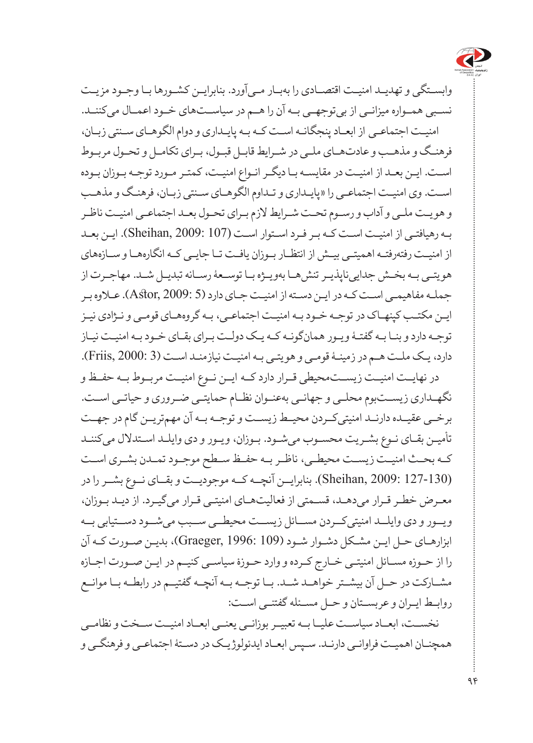

وابسـتگی و تهدیـد امنیـت اقتصـادی را بهبـار مـیآورد. بنابرایـن کشـورها بـا وجـود مزیـت نسـبی همـواره میزانــی از بیتوجهــی بــه آن را هــم در سیاســتهای خـود اعمـال می کننــد. امنیـت اجتماعـی از ابعـاد پنجگانـه اسـت کـه بـه پایـداری و دوام الگوهـای سـنتی زبـان، فرهنـگ و مذهـب و عادتهـای ملـی در شـرایط قابـل قبـول، بـرای تکامـل و تحـول مربـوط اسـت. ایـن بعـد از امنیـت در مقایسـه بـا دیگـر انـواع امنیـت، کمتـر مـورد توجـه بـوزان بـوده اسـت. وی امنیـت اجتماعـی را »پایـداری و تـداوم الگوهـای سـنتی زبـان، فرهنـگ و مذهـب و هویـت ملـی و آداب و رسـوم تحـت شـرایط الزم بـرای تحـول بعـد اجتماعـی امنیـت ناظـر بـه رهیافتـی از امنیـت اسـت کـه بـر فـرد اسـتوار اسـت (107 2009: ,Sheihan). ایـن بعـد از امنیـت رفتهرفتـه اهمیتـی بیـش از انتظـار بـوزان یافـت تـا جایـی کـه انگارههـا و سـازههای هویتـی بـه بخـش جداییناپذیـر تنشهـا بهویـژه بـا توسـعۀ رسـانه تبدیـل شـد. مهاجـرت از جملـه مفاهیمـی اسـت کـه در ایـن دسـته از امنیـت جـای دارد )5 2009: ,Astor). عـاوه بـر ایـن مکتـب کپنهـاک در توجـه خـود بـه امنیـت اجتماعـی، بـه گروههـای قومـی و نـژادی نیـز توجـه دارد و بنـا بـه گفتـۀ ویـور همانگونـه کـه یـک دولـت بـرای بقـای خـود بـه امنیـت نیـاز دارد، یـک ملـت هـم در زمینـۀ قومـی و هویتـی بـه امنیـت نیازمنـد اسـت )3 2000: ,Friis). در نهایــت امنیــت زیســتمحیطی قــرار دارد کــه ایــن نــوع امنیــت مربــوط بــه حفــظ و نگهـداری زیسـتبوم محلـی و جهانـی بهعنـوان نظـام حمایتـی ضـروری و حیاتـی اسـت. برخــی عقیــده دارنــد امنیتیکــردن محیــط زیســت و توجــه بــه آن مهمتریــن گام در جهــت تأمیـن بقـای نـوع بشـریت محسـوب میشـود. بـوزان، ویـور و دی وایلـد اسـتدالل میکننـد کــه بحــث امنیــت زیســت محیطــی، ناظــر بــه حفــظ ســطح موجــود تمــدن بشــری اســت (127-130 2009: ,Sheihan(. بنابرایــن آنچــه کــه موجودیــت و بقــای نــوع بشــر را در

معـرض خطـر قـرار میدهـد، قسـمتی از فعالیتهـای امنیتـی قـرار میگیـرد. از دیـد بـوزان، ویــور و دی وایلــد امنیتیکــردن مســائل زیســت محیطــی ســبب میشــود دســتیابی بــه ابزارهـای حـل ایـن مشـکل دشـوار شـود )109 1996: ,Graeger)، بدیـن صـورت کـه آن را از حـوزه مسـائل امنیتـی خـارج کـرده و وارد حـوزۀ سیاسـی کنیـم در ایـن صـورت اجـازه مشــارکت در حــل آن بیشــتر خواهــد شــد. بــا توجــه بــه آنچــه گفتیــم در رابطــه بــا موانــع روابـط ایـران و عربسـتان و حـل مسـئله گفتنـی اسـت:

نخســت، ابعــاد سیاســت علیــا بــه تعبیــر بوزانــی یعنــی ابعــاد امنیــت ســخت و نظامــی همچنـان اهمیـت فراوانـی دارنـد. سـپس ابعـاد ایدئولوژیـک در دسـتۀ اجتماعـی و فرهنگـی و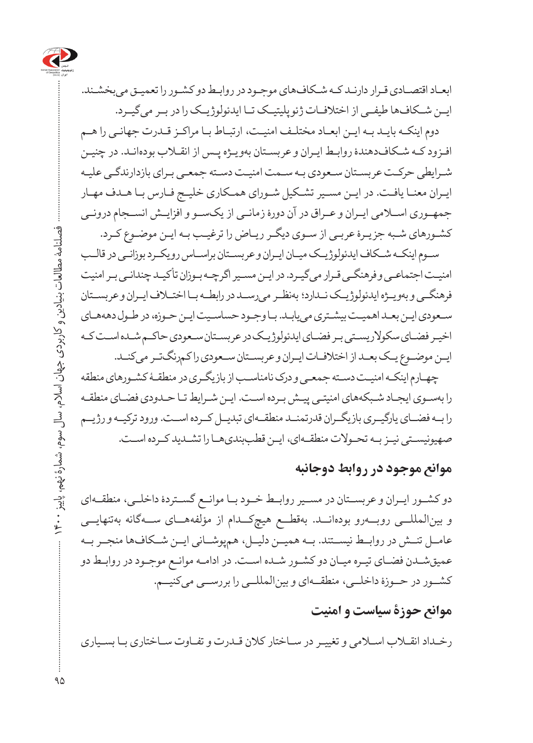

ابعـاد اقتصـادی قـرار دارنـد کـه شـکافهای موجـود در روابـط دو کشـور را تعمیـق میبخشـند. ایــن شــکافها طیفــی از اختالفــات ژئوپلیتیــک تــا ایدئولوژیــک را در بــر میگیــرد.

دوم اینکـه بایـد بـه ایـن ابعـاد مختلـف امنیـت، ارتبـاط بـا مراکـز قـدرت جهانـی را هـم افـزود کـه شـکافدهندۀ روابـط ایـران و عربسـتان بهویـژه پـس از انقـاب بودهانـد. در چنیـن شـرایطی حرکـت عربسـتان سـعودی بـه سـمت امنیـت دسـته جمعـی بـرای بازدارندگـی علیـه ایـران معنـا یافـت. در ایـن مسـیر تشـکیل شـورای همـکاری خلیـج فـارس بـا هـدف مهـار جمهــوری اســامی ایــران و عــراق در آن دورۀ زمانــی از یکســو و افزایــش انســجام درونــی کشـورهای شـبه جزیـرۀ عربـی از سـوی دیگـر ریـاض را ترغیـب بـه ایـن موضـوع کـرد.

سـوم اینکـه شـکاف ایدئولوژیـک میـان ایـران و عربسـتان براسـاس رویکـرد بوزانـی در قالـب امنیـت اجتماعـی و فرهنگـی قـرار میگیـرد. در ایـن مسـیر اگرچـه بـوزان تأکیـد چندانـی بـر امنیت فرهنگــی و بهویــژه ایدئولوژیــک نــدارد؛ بهنظــر میرســد در رابطــه بــا اختــاف ایــران و عربســتان سـعودی ایـن بعـد اهمیـت بیشـتری مییابـد. بـا وجـود حساسـیت ایـن حـوزه، در طـول دهههـای اخیـر فضـای سکوالریسـتی بـر فضـای ایدئولوژیـک در عربسـتان سـعودی حاکـم شـده اسـت کـه ایـن موضـوع یـک بعـد از اختالفـات ایـران و عربسـتان سـعودی را کمرنگتـر میکنـد.

چهـارم اینکـه امنیـت دسـته جمعـی و درک نامناسـب از بازیگـری در منطقـۀ کشـورهای منطقه را بهسـوی ایجـاد شـبکههای امنیتـی پیـش بـرده اسـت. ایـن شـرایط تـا حـدودی فضـای منطقـه را بــه فضــای یارگیــری بازیگــران قدرتمنــد منطقــهای تبدیــل کــرده اســت. ورود ترکیــه و رژیــم صهیونیسـتی نیـز بـه تحـوالت منطقـهای، ایـن قطببندیهـا را تشـدید کـرده اسـت.

#### **موانع موجود در روابط دوجانبه**

دو کشــور ایــران و عربســتان در مســیر روابــط خــود بــا موانــع گســتردۀ داخلــی، منطقــهای و بینالمللــی روبــهرو بودهانــد. بهقطــع هیچکــدام از مؤلفههــای ســهگانه بهتنهایــی عامــل تنــش در روابــط نیســتند. بــه همیــن دلیــل، همپوشــانی ایــن شــکافها منجــر بــه عمیقشـدن فضـای تیـره میـان دو کشـور شـده اسـت. در ادامـه موانـع موجـود در روابـط دو کشــور در حــوزۀ داخلــی، منطقــهای و بینالمللــی را بررســی میکنیــم.

## **موانع حوزۀ سیاست و امنیت**

رخـداد انقـاب اسـامی و تغییـر در سـاختار کالن قـدرت و تفـاوت سـاختاری بـا بسـیاری

 فصلنامۀ مطالعات بنیادین و کاربردی جهان اسالم، سال سوم، شمارۀ نهم، پاییز 1400 فصلنامهٔ مطالعات بنیادین و کاربردی جهان اسلام، سال ، سوم، شمارهٔ نهم، پاییز ۹۵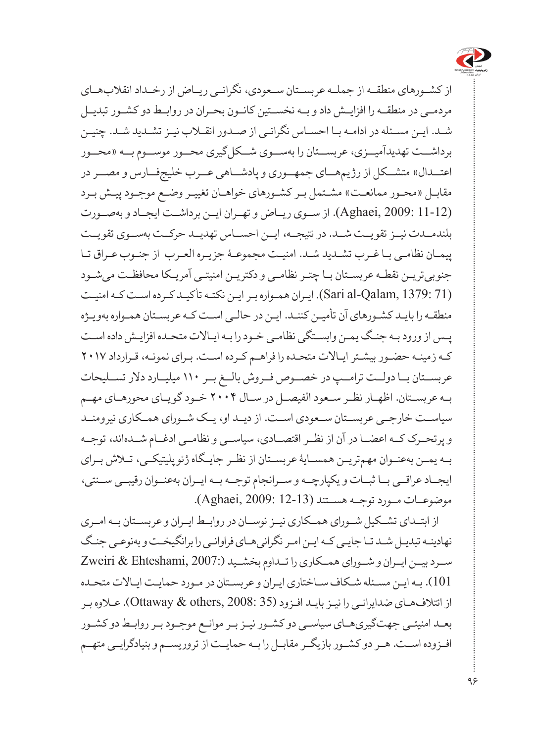

از کشــورهای منطقــه از جملــه عربســتان ســعودی، نگرانــی ریــاض از رخــداد انقالبهــای مردمــی در منطقــه را افزایــش داد و بــه نخســتین کانــون بحــران در روابــط دو کشــور تبدیــل شـد. ایـن مسـئله در ادامـه بـا احسـاس نگرانـی از صـدور انقـاب نیـز تشـدید شـد. چنیـن برداشــت تهدیدآمیــزی، عربســتان را بهســوی شــکلگیری محــور موســوم بــه »محــور اعتـــدال» متشــکل از رژیمهـــای جمهــوری و پادشـــاهی عـــرب خلیجفــارس و مصـــر در مقابـل «محـور ممانعـت» مشـتمل بـر کشـورهای خواهـان تغییـر وضـع موجـود پیـش بـرد (11-12 2009: ,Aghaei(. از ســوی ریــاض و تهــران ایــن برداشــت ایجــاد و بهصــورت بلندمــدت نیــز تقویــت شــد. در نتیجــه، ایــن احســاس تهدیــد حرکــت بهســوی تقویــت پیمـان نظامـی بـا غـرب تشـدید شـد. امنیـت مجموعـۀ جزیـره العـرب از جنـوب عـراق تـا جنوبیتریـن نقطـه عربسـتان بـا چتـر نظامـی و دکتریـن امنیتـی آمریـکا محافظـت میشـود (71 1379: ,Qalam-al Sari(. ایـران همـواره بـر ایـن نکتـه تأکیـد کـرده اسـت کـه امنیـت منطقـه را بایـد کشـورهای آن تأمیـن کننـد. ایـن در حالـی اسـت کـه عربسـتان همـواره بهویـژه پـس از ورود بـه جنـگ یمـن وابسـتگی نظامـی خـود را بـه ایـاالت متحـده افزایـش داده اسـت کـه زمینـه حضـور بیشـتر ایـاالت متحـده را فراهـم کـرده اسـت. بـرای نمونـه، قـرارداد 2017 عربســتان بــا دولــت ترامــپ در خصــوص فــروش بالــغ بــر 110 میلیــارد دالر تســلیحات بــه عربســتان. اظهــار نظــر ســعود الفیصــل در ســال 2004 خــود گویــای محورهــای مهــم سیاســت خارجــی عربســتان ســعودی اســت. از دیــد او، یــک شــورای همــکاری نیرومنــد و پرتحــرک کــه اعضــا در آن از نظــر اقتصــادی، سیاســی و نظامــی ادغــام شــدهاند، توجــه بــه یمــن بهعنــوان مهمتریــن همســایۀ عربســتان از نظــر جایــگاه ژئوپلیتیکــی، تــاش بــرای ایجــاد عراقــی بــا ثبــات و یکپارچــه و ســرانجام توجــه بــه ایــران بهعنــوان رقیبــی ســنتی، موضوعــات مــورد توجــه هســتند (12-13 2009: ,Aghaei(.

از ابتــدای تشــکیل شــورای همــکاری نیــز نوســان در روابــط ایــران و عربســتان بــه امــری نهادینـه تبدیـل شـد تـا جایـی کـه ایـن امـر نگرانیهـای فراوانـی را برانگیخـت و بهنوعـی جنـگ ســرد بیــن ایــران و شــورای همــکاری را تــداوم بخشــید )2007: ,Ehteshami & Zweiri 101(. بـه ایـن مسـئله شـکاف سـاختاری ایـران و عربسـتان در مـورد حمایـت ایـاالت متحـده از ائتالفهـای ضدایرانـی را نیـز بایـد افـزود )35 2008: ,others & Ottaway). عـاوه بـر بعـد امنیتـی جهتگیریهـای سیاسـی دو کشـور نیـز بـر موانـع موجـود بـر روابـط دو کشـور افــزوده اســت. هــر دو کشــور بازیگــر مقابــل را بــه حمایــت از تروریســم و بنیادگرایــی متهــم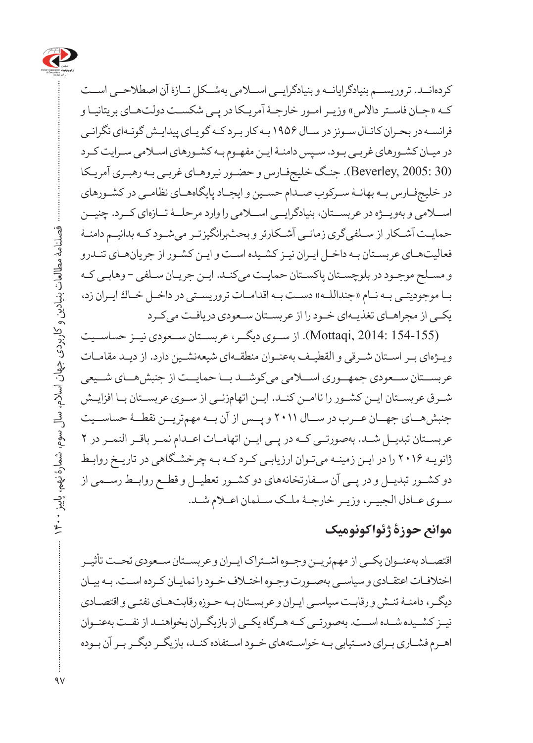

کردهانــد. تروریســم بنیادگرایانــه و بنیادگرایــی اســامی بهشــکل تــازۀ آن اصطالحــی اســت کـه »جـان فاسـتر داالس« وزیـر امـور خارجـۀ آمریـکا در پـی شکسـت دولتهـای بریتانیـا و فرانسـه در بحـران کانـال سـوئز در سـال 1956 بـه کار بـرد کـه گویـای پیدایـش گونـهای نگرانـی در میـان کشـورهای غربـی بـود. سـپس دامنـۀ ایـن مفهـوم بـه کشـورهای اسـامی سـرایت کـرد )30 2005: ,Beverley). جنـگ خلیجفـارس و حضـور نیروهـای غربـی بـه رهبـری آمریـکا در خلیجفـارس بـه بهانـۀ سـرکوب صـدام حسـین و ایجـاد پایگاههـای نظامـی در کشـورهای اســامی و بهویــژه در عربســتان، بنیادگرایــی اســامی را وارد مرحلــۀ تــازهای کــرد. چنیــن حمایـت آشـکار از سـلفیگری زمانـی آشـکارتر و بحثبرانگیزتـر میشـود کـه بدانیـم دامنـۀ فعالیتهـای عربسـتان بـه داخـل ایـران نیـز کشـیده اسـت و ایـن کشـور از جریانهـای تنـدرو و مسـلح موجـود در بلوچسـتان پاکسـتان حمایـت میکنـد. ایـن جریـان سـلفی - وهابـی کـه بـا موجودیتـی بـه نـام »جنداللـه« دسـت بـه اقدامـات تروریسـتی در داخـل خـاك ایـران زد، یکـی از مجراهـای تغذیـهای خـود را از عربسـتان سـعودی دریافـت میکـرد

(154-155 2014: ,Mottaqi). از ســوی دیگــر، عربســتان ســعودی نیــز حساســیت ویـژهای بـر اسـتان شـرقی و القطیـف بهعنـوان منطقـهای شیعهنشـین دارد. از دیـد مقامـات عربســتان ســعودی جمهــوری اســامی میکوشــد بــا حمایــت از جنبشهــای شــیعی شــرق عربســتان ایــن کشــور را ناامــن کنــد. ایــن اتهامزنــی از ســوی عربســتان بــا افزایــش جنبشهــای جهــان عــرب در ســال 2011 و پــس از آن بــه مهمتریــن نقطــۀ حساســیت عربســتان تبدیــل شــد. بهصورتــی کــه در پــی ایــن اتهامــات اعــدام نمــر باقــر النمــر در 2 ژانویـه 2016 را در ایـن زمینـه میتـوان ارزیابـی کـرد کـه بـه چرخشـگاهی در تاریـخ روابـط دو کشــور تبدیــل و در پــی آن ســفارتخانههای دو کشــور تعطیــل و قطــع روابــط رســمی از ســوی عــادل الجبیــر، وزیــر خارجــۀ ملــک ســلمان اعــام شــد.

### **موانع حوزۀ ژئواکونومیک**

اقتصــاد بهعنــوان یکــی از مهمتریــن وجــوه اشــتراک ایــران و عربســتان ســعودی تحــت تأثیــر اختالفـات اعتقـادی و سیاسـی بهصـورت وجـوه اختـاف خـود را نمایـان کـرده اسـت. بـه بیـان دیگـر، دامنـۀ تنـش و رقابـت سیاسـی ایـران و عربسـتان بـه حـوزه رقابتهـای نفتـی و اقتصـادی نیــز کشــیده شــده اســت. بهصورتــی کــه هــرگاه یکــی از بازیگــران بخواهنــد از نفــت بهعنــوان اهـرم فشـاری بـرای دسـتیابی بـه خواسـتههای خـود اسـتفاده کنـد، بازیگـر دیگـر بـر آن بـوده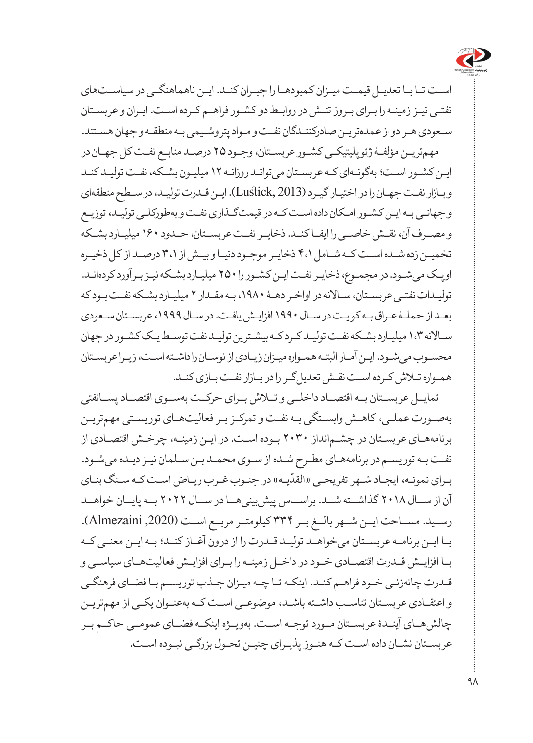

اسـت تـا بـا تعدیـل قیمـت میـزان کمبودهـا را جبـران کنـد. ایـن ناهماهنگـی در سیاسـتهای نفتـی نیـز زمینـه را بـرای بـروز تنـش در روابـط دو کشـور فراهـم کـرده اسـت. ایـران و عربسـتان سـعودی هـر دو از عمدهتریـن صادرکننـدگان نفـت و مـواد پتروشـیمی بـه منطقـه و جهان هسـتند. مهمتریـن مؤلفـۀ ژئوپلیتیکـی کشـور عربسـتان، وجـود 25 درصـد منابـع نفـت کل جهـان در ایـن کشـور اسـت؛ بهگونـهای کـه عربسـتان میتوانـد روزانـه 12 میلیـون بشـکه، نفـت تولیـد کنـد و بـازار نفـت جهـان را در اختیـار گیـرد )2013 ,Lustick). ایـن قـدرت تولیـد، در سـطح منطقهای و جهانـی بـه ایـن کشـور امـکان داده اسـت کـه در قیمتگـذاری نفـت و بهطورکلـی تولیـد، توزیـع و مصــرف آن، نقــش خاصــی را ایفــا کنــد. ذخایــر نفــت عربســتان، حــدود 160 میلیــارد بشــکه تخمیـن زده شـده اسـت کـه شـامل 4،1 ذخایـر موجـود دنیـا و بیـش از 3،1 درصـد از کل ذخیـره اوپـک میشـود. در مجمـوع، ذخایـر نفـت ایـن کشـور را 250 میلیـارد بشـکه نیـز بـرآورد کردهانـد. تولیـدات نفتـی عربسـتان، سـاالنه در اواخـر دهـۀ ،1980 بـه مقـدار 2 میلیـارد بشـکه نفـت بـود که بعـد از حملـۀ عـراق بـه کویـت در سـال 1990 افزایـش یافـت. در سـال ،1999 عربسـتان سـعودی سـاالنه 1،3 میلیـارد بشـکه نفـت تولیـد کـرد کـه بیشـترین تولیـد نفت توسـط یـک کشـور در جهان محسـوب میشـود. ایـن آمـار البتـه همـواره میـزان زیـادی از نوسـان را داشـته اسـت، زیـرا عربسـتان همـواره تـاش کـرده اسـت نقـش تعدیلگـر را در بـازار نفـت بـازی کنـد.

تمایــل عربســتان بــه اقتصــاد داخلــی و تــاش بــرای حرکــت بهســوی اقتصــاد پســانفتی بهصـورت عملـی، کاهـش وابسـتگی بـه نفـت و تمرکـز بـر فعالیتهـای توریسـتی مهمتریـن برنامههـای عربسـتان در چشـمانداز 2030 بـوده اسـت. در ایـن زمینـه، چرخـش اقتصـادی از نفـت بـه توریسـم در برنامههـای مطـرح شـده از سـوی محمـد بـن سـلمان نیـز دیـده میشـود. ֧֧֧֡֡֡֝֟֓֝֝֟֝֟֓֝ بـرای نمونـه، ایجـاد شـهر تفریحـی «القدّیـه» در جنـوب غـرب ریـاض اسـت کـه سـنگ بنـای آن از ســال 2018 گذاشــته شــد. براســاس پیشبینیهــا در ســال 2022 بــه پایــان خواهــد رســید. مســاحت ایــن شــهر بالــغ بــر 334 کیلومتــر مربــع اســت ),2020 Almezaini). بـا ایـن برنامـه عربسـتان میخواهـد تولیـد قـدرت را از درون آغـاز کنـد؛ بـه ایـن معنـی کـه بـا افزایـش قـدرت اقتصـادی خـود در داخـل زمینـه را بـرای افزایـش فعالیتهـای سیاسـی و قـدرت چانهزنـی خـود فراهـم کنـد. اینکـه تـا چـه میـزان جـذب توریسـم بـا فضـای فرهنگـی و اعتقـادی عربسـتان تناسـب داشـته باشـد، موضوعـی اسـت کـه بهعنـوان یکـی از مهمتریـن چالشهــای آینــدۀ عربســتان مــورد توجــه اســت. بهویــژه اینکــه فضــای عمومــی حاکــم بــر عربسـتان نشـان داده اسـت کـه هنـوز پذیـرای چنیـن تحـول بزرگـی نبـوده اسـت.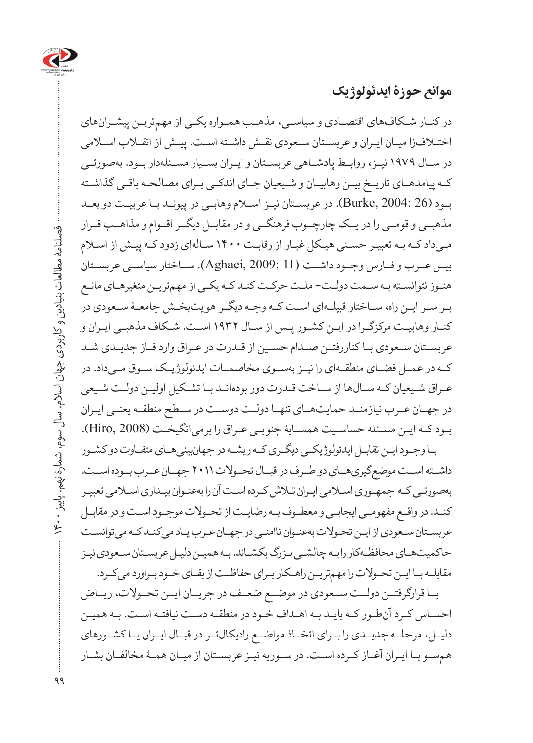

**موانع حوزۀ ایدئولوژیک**

در کنـار شـکافهای اقتصـادی و سیاسـی، مذهـب همـواره یکـی از مهمتریـن پیشـرانهای اختـافزا میـان ایـران و عربسـتان سـعودی نقـش داشـته اسـت. پیـش از انقـاب اسـامی در ســال 1979 نیــز، روابــط پادشــاهی عربســتان و ایــران بســیار مســئلهدار بــود. بهصورتــی کـه پیامدهـای تاریـخ بیـن وهابیـان و شـیعیان جـای اندکـی بـرای مصالحـه باقـی گذاشـته بـود )26 2004: ,Burke). در عربسـتان نیـز اسـام وهابـی در پیونـد بـا عربیـت دو بعـد مذهبــی و قومــی را در یــک چارچــوب فرهنگــی و در مقابــل دیگــر اقــوام و مذاهــب قــرار مـیداد کـه بـه تعبیـر حسـنی هیـکل غبـار از رقابـت 1400 سـالهای زدود کـه پیـش از اسـام بیــن عــرب و فــارس وجــود داشــت (11 2009: ,Aghaei(. ســاختار سیاســی عربســتان هنـوز نتوانسـته بـه سـمت دولـت- ملـت حرکـت کنـد کـه یکـی از مهمتریـن متغیرهـای مانـع بـر سـر ایـن راه، سـاختار قبیلـهای اسـت کـه وجـه دیگـر هویتبخـش جامعـۀ سـعودی در کنـار وهابیـت مرکزگـرا در ایـن کشـور پـس از سـال 1932 اسـت. شـکاف مذهبـی ایـران و عربسـتان سـعودی بـا کناررفتـن صـدام حسـین از قـدرت در عـراق وارد فـاز جدیـدی شـد کــه در عمــل فضــای منطقــهای را نیــز بهســوی مخاصمــات ایدئولوژیــک ســوق مــیداد. در عـراق شـیعیان کـه سـالها از سـاخت قـدرت دور بودهانـد بـا تشـکیل اولیـن دولـت شـیعی در جهــان عــرب نیازمنــد حمایتهــای تنهــا دولــت دوســت در ســطح منطقــه یعنــی ایــران بـود کـه ایـن مسـئله حساسـیت همسـایۀ جنوبـی عـراق را برمیانگیخـت )2008 ,Hiro). بـا وجـود ایـن تقابـل ایدئولوژیکـی دیگـری کـه ریشـه در جهانبینیهـای متفـاوت دو کشـور

داشــته اســت موضعگیریهــای دو طــرف در قبــال تحــوالت 2011 جهــان عــرب بــوده اســت. بهصورتـی کـه جمهـوری اسـامی ایـران تـاش کـرده اسـت آن را بهعنـوان بیـداری اسـامی تعبیـر کنـد. در واقـع مفهومـی ایجابـی و معطـوف بـه رضایـت از تحـوالت موجـود اسـت و در مقابـل عربسـتان سـعودی از ایـن تحـوالت بهعنـوان ناامنـی در جهـان عـرب یـاد میکنـد کـه میتوانسـت حاکمیتهـای محافظـهکار را بـه چالشـی بـزرگ بکشـاند. بـه همیـن دلیـل عربسـتان سـعودی نیـز مقابلـه بـا ایـن تحـوالت را مهمتریـن راهـکار بـرای حفاظـت از بقـای خـود بـراورد میکـرد.

بــا قرارگرفتــن دولــت ســعودی در موضــع ضعــف در جریــان ایــن تحــوالت، ریــاض احسـاس کـرد آنطـور کـه بایـد بـه اهـداف خـود در منطقـه دسـت نیافتـه اسـت. بـه همیـن دلیــل، مرحلــه جدیــدی را بــرای اتخــاذ مواضــع رادیکالتــر در قبــال ایــران یــا کشــورهای همسـو بـا ایـران آغـاز کـرده اسـت. در سـوریه نیـز عربسـتان از میـان همـۀ مخالفـان بشـار

فصلنامۀ مطالعات بنیادین و کاربردی جهان اسالم، سال سوم، شمارۀ نهم، پاییز 1400

فصلنامه مطالعات بنيادين و كاربردى جهان اسلام، سال سوم، شمارهٔ نهم، پاييز ۴۰۰۰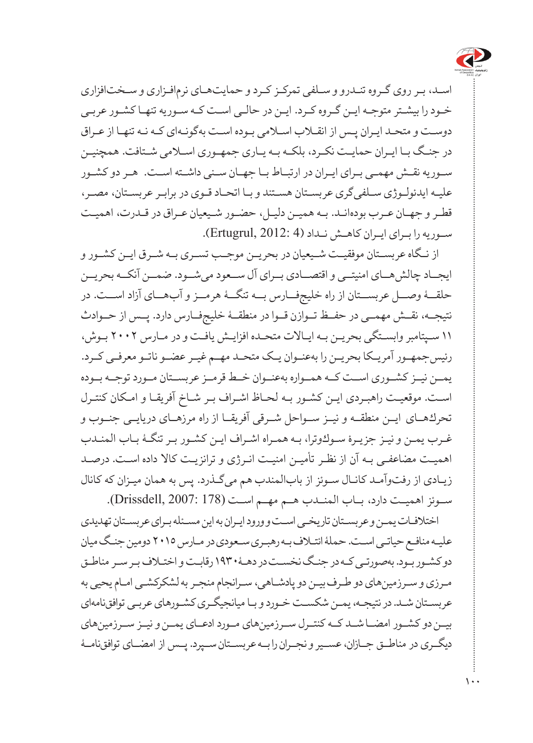

اسـد، بـر روی گـروه تنـدرو و سـلفی تمرکـز کـرد و حمایتهـای نرمافـزاری و سـختافزاری خـود را بیشـتر متوجـه ایـن گـروه کـرد. ایـن در حالـی اسـت کـه سـوریه تنهـا کشـور عربـی دوسـت و متحـد ایـران پـس از انقـاب اسـامی بـوده اسـت بهگونـهای کـه نـه تنهـا از عـراق در جنـگ بـا ایـران حمایـت نکـرد، بلکـه بـه یـاری جمهـوری اسـامی شـتافت. همچنیـن سـوریه نقـش مهمـی بـرای ایـران در ارتبـاط بـا جهـان سـنی داشـته اسـت. هـر دو کشـور علیـه ایدئولـوژی سـلفیگری عربسـتان هسـتند و بـا اتحـاد قـوی در برابـر عربسـتان، مصـر، قطـر و جهـان عـرب بودهانـد. بـه همیـن دلیـل، حضـور شـیعیان عـراق در قـدرت، اهمیـت سـوریه را بـرای ایـران کاهـش نـداد )4 2012: ,Ertugrul).

از نــگاه عربســتان موفقیــت شــیعیان در بحریــن موجــب تســری بــه شــرق ایــن کشــور و ایجــاد چالشهــای امنیتــی و اقتصــادی بــرای آل ســعود میشــود. ضمــن آنکــه بحریــن حلقــۀ وصــل عربســتان از راه خلیجفــارس بــه تنگــۀ هرمــز و آبهــای آزاد اســت. در نتیجــه، نقــش مهمــی در حفــظ تــوازن قــوا در منطقــۀ خلیجفــارس دارد. پــس از حــوادث 11 سـپتامبر وابسـتگی بحریـن بـه ایـاالت متحـده افزایـش یافـت و در مـارس 2002 بـوش، رئیسجمهـور آمریـکا بحریـن را بهعنـوان یـک متحـد مهـم غیـر عضـو ناتـو معرفـی کـرد. یمــن نیــز کشــوری اســت کــه همــواره بهعنــوان خــط قرمــز عربســتان مــورد توجــه بــوده اسـت. موقعیـت راهبـردی ایـن كشـور بـه لحـاظ اشـراف بـر شـاخ آفریقـا و امـكان كنتـرل تحركهاـی ایــن منطقــه و نیــز ســواحل شــرقی آفریقــا از راه مرزهــای دریایــی جنــوب و غـرب یمـن ونیـز جزیـرۀ سـوكوترا، بـه همـراه اشـراف ایـن كشـور بـرتنگـۀ بـاب المنـدب اهمیـت مضاعفـی بـه آن از نظـر تأمیـن امنیـت انـرژی و ترانزیـت كاال داده اسـت. درصـد زیـادی از رفتوآمـد كانـال سـوئز از بابالمندب هم میگـذرد. پس به همان میـزان كه كانال ســوئز اهمیــت دارد، بــاب المنــدب هــم مهــم اســت (178 2007: ,Drissdell(.

اختالفـات یمـن و عربسـتان تاریخـی اسـت و ورود ایـران به این مسـئله بـرای عربسـتان تهدیدی علیـه منافـع حیاتـی اسـت. حملۀ ائتـاف بـه رهبـری سـعودی در مـارس 2015 دومین جنـگ میان دو کشـور بـود. بهصورتـی کـه در جنـگ نخسـت در دهـۀ1930 رقابـتواختـافبـرسـرمناطـق مـرزی و سـرزمینهای دو طـرف بیـن دو پادشـاهی، سـرانجام منجـر به لشكركشـی امـام یحیی به عربسـتان شـد. در نتیجـه، یمـن شكسـت خـورد و بـا میانجیگـری كشـورهای عربـی توافقiامهای بیــن دو كشــور امضــا شــد كــه كنتــرل ســرزمین های مــورد ادعــای یمــن و نیــز ســرزمین های دیگــری درمناطــق جــازان، عســیر و نجــران را بــه عربســتان ســپرد. پــس از امضــای توافقنامــۀ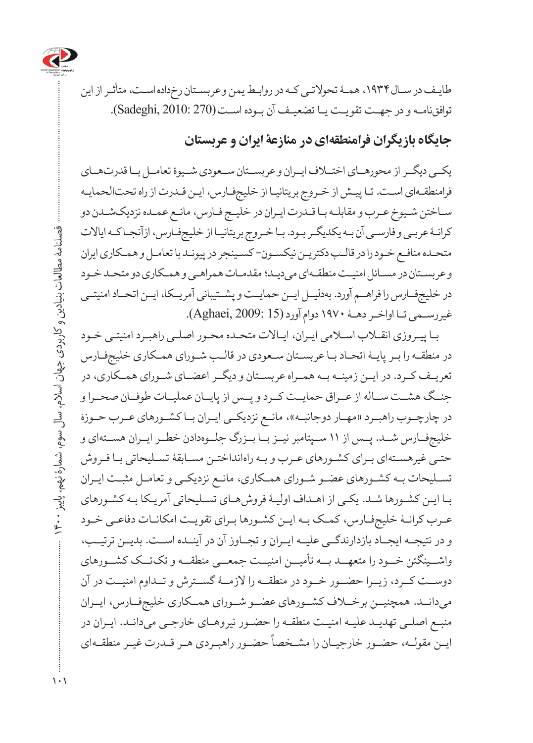

طایـفدر سـال،1934 همـۀتحوالتـیكـهدرروابـطیمنوعربسـتان رخداده اسـت،متأثـرازاین توافقنامـه و درجهـت تقویـت یـا تضعیـف آن بـوده اسـت(270 2010: ,Sadeghi(.

## **جایگاه بازیگران فرامنطقهای در منازعۀ ایران و عربستان**

یکــی دیگــر از محورهــای اختــاف ایــران و عربســتان ســعودی شــیوۀ تعامــل بــا قدرتهــای فرامنطقـهای اسـت. تـا پیـش از خـروج بریتانیـا از خلیجفـارس، ایـن قـدرت از راه تحتالحمایـه سـاختن شـیوخ عـرب و مقابلـه بـا قـدرت ایـران در خلیـج فـارس، مانـع عمـده نزدیکشـدن دو کرانـۀ عربـی و فارسـی آن بـه یکدیگـر بـود. بـا خـروج بریتانیـا از خلیجفـارس، ازآنجـا کـه ایاالت متحـده منافـع خـود را در قالـب دکتریـن نیکسـون- کسـینجر در پیونـد با تعامـل و همـکاری ایران و عربسـتان در مسـائل امنیـت منطقـهای میدیـد؛ مقدمـات همراهـی و همـکاری دو متحـد خـود در خلیجفــارس را فراهــم آورد. بهدلیــل ایــن حمایــت و پشــتیبانی آمریــکا، ایــن اتحــاد امنیتــی غیررسـمی تـا اواخـر دهـۀ 1970 دوام آورد (15 2009: ,Aghaei(.

بـا پیـروزی انقـاب اسـامی ایـران، ایـاالت متحـده محـور اصلـی راهبـرد امنیتـی خـود در منطقـه را بـر پایـۀ اتحـاد بـا عربسـتان سـعودی در قالـب شـورای همـکاری خلیجفـارس تعریــف کــرد. در ایــن زمینــه بــه همــراه عربســتان و دیگــر اعضــای شــورای همــکاری، در جنــگ هشــت ســاله از عــراق حمایــت کــرد و پــس از پایــان عملیــات طوفــان صحــرا و در چارچــوب راهبــرد »مهــار دوجانبــه«، مانــع نزدیکــی ایــران بــا کشــورهای عــرب حــوزۀ خلیجفــارس شــد. پــس از 11 ســپتامبر نیــز بــا بــزرگ جلــوهدادن خطــر ایــران هســتهای و حتـی غیرهسـتهای بـرای کشـورهای عـرب و بـه راهانداختـن مسـابقۀ تسـلیحاتی بـا فـروش تسـلیحات بـه کشـورهای عضـو شـورای همـکاری، مانـع نزدیکـی و تعامـل مثبـت ایـران بـا ایـن کشـورها شـد. یکـی از اهـداف اولیـۀ فروشهـای تسـلیحاتی آمریـکا بـه کشـورهای عـرب کرانـۀ خلیجفـارس، کمـک بـه ایـن کشـورها بـرای تقویـت امکانـات دفاعـی خـود و در نتیجــه ایجــاد بازدارندگــی علیــه ایــران و تجــاوز آن در آینــده اســت. بدیــن ترتیــب، واشــینگتن خــود را متعهــد بــه تأمیــن امنیــت جمعــی منطقــه و تکتــک کشــورهای دوســت کــرد، زیــرا حضــور خــود در منطقــه را الزمــۀ گســترش و تــداوم امنیــت در آن میدانــد. همچنیــن برخــاف کشــورهای عضــو شــورای همــکاری خلیجفــارس، ایــران منبـع اصلـی تهدیـد علیـه امنیـت منطقـه را حضـور نیروهـای خارجـی میدانـد. ایـران در س سے سب سے دورے ہے۔<br>ایـن مقولـه، حضـور خارجیـان را مشـخصاً حضـور راهبـردی هـر قــدرت غیـر منطقـهای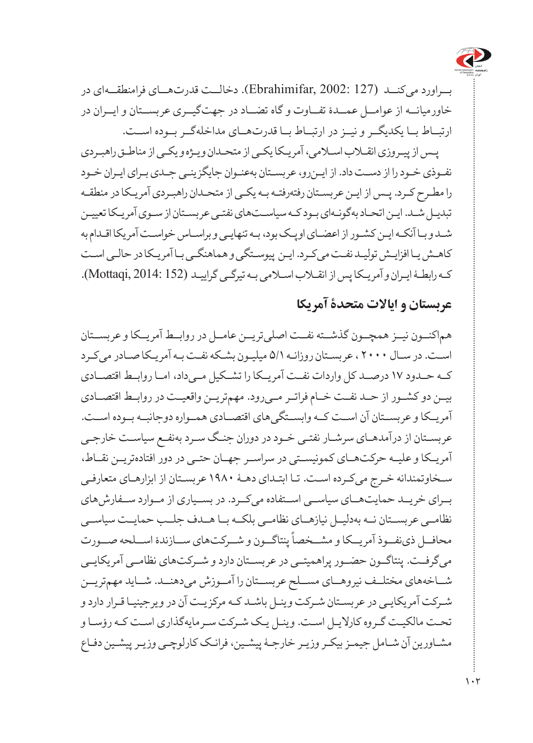

بــراورد میکنــد (127 2002: ,Ebrahimifar). دخالــت قدرتهــای فرامنطقــهای در خاورمیانــه از عوامــل عمــدۀ تفــاوت و گاه تضــاد در جهتگیــری عربســتان و ایــران در ارتبــاط بــا یکدیگــر و نیــز در ارتبــاط بــا قدرتهــای مداخلهگــر بــوده اســت.

پـس از پیـروزی انقـاب اسـامی، آمریـکا یکـی از متحـدان ویـژه و یکـی از مناطـق راهبـردی نفـوذی خـود را از دسـت داد. از ایـنرو، عربسـتان بهعنـوان جایگزینـی جـدی بـرای ایـران خـود را مطـرح کـرد. پـس از ایـن عربسـتان رفتهرفتـه بـه یکـی از متحـدان راهبـردی آمریـکا در منطقـه تبدیـل شـد. ایـن اتحـاد بهگونـهای بـود کـه سیاسـتهای نفتـی عربسـتان از سـوی آمریـکا تعییـن شـد و بـا آنکـه ایـن کشـور از اعضـای اوپـک بود، بـه تنهایـی و براسـاس خواسـت آمریکا اقـدام به کاهـش یـا افزایـش تولیـد نفـت میکـرد. ایـن پیوسـتگی و هماهنگـی بـا آمریـکا در حالـی اسـت کـه رابطـۀ ایـران و آمریـکا پس از انقـاب اسـامی بـه تیرگـی گراییـد (152 2014: ,Mottaqi(.

#### **عربستان و ایاالت متحدۀ آمریکا**

هماکنــون نیــز همچــون گذشــته نفــت اصلیتریــن عامــل در روابــط آمریــکا و عربســتان اسـت. در سـال 2000 ، عربسـتان روزانـه 5/1 میلیـون بشـکه نفـت بـه آمریـکا صـادر میکـرد کــه حــدود 17 درصــد کل واردات نفــت آمریــکا را تشــکیل مــیداد، امــا روابــط اقتصــادی بیــن دو کشــور از حــد نفــت خــام فراتــر مــیرود. مهمتریــن واقعیــت در روابــط اقتصــادی آمریــکا و عربســتان آن اســت کــه وابســتگیهای اقتصــادی همــواره دوجانبــه بــوده اســت. عربسـتان از درآمدهـای سرشـار نفتـی خـود در دوران جنـگ سـرد بهنفـع سیاسـت خارجـی آمریــکا و علیــه حرکتهــای کمونیســتی در سراســر جهــان حتــی در دور افتادهتریــن نقــاط، سـخاوتمندانه خـرج میکـرده اسـت. تـا ابتـدای دهـۀ 1980 عربسـتان از ابزارهـای متعارفـی بــرای خریــد حمایتهــای سیاســی اســتفاده میکــرد. در بســیاری از مــوارد ســفارشهای نظامــی عربســتان نــه بهدلیــل نیازهــای نظامــی بلکــه بــا هــدف جلــب حمایــت سیاســی ت می<br>محافــل ذینفــوذ آمریــکا و مشــخصاً پنتاگــون و شـــرکتهای ســازندۀ اســلحه صـــورت میگرفــت. پنتاگــون حضــور پراهمیتــی در عربســتان دارد و شــرکتهای نظامــی آمریکایــی شــاخههای مختلــف نیروهــای مســلح عربســتان را آمــوزش میدهنــد. شــاید مهمتریــن شـرکت آمریکایـی در عربسـتان شـرکت وینـل باشـد کـه مرکزیـت آن در ویرجینیـا قـرار دارد و تحـت مالکیـت گـروه کارالیـل اسـت. وینـل یـک شـرکت سـرمایهگذاری اسـت کـه رؤسـا و مشـاورین آن شـامل جیمـز بیکـر وزیـر خارجـۀ پیشـین، فرانـک کارلوچـی وزیـر پیشـین دفـاع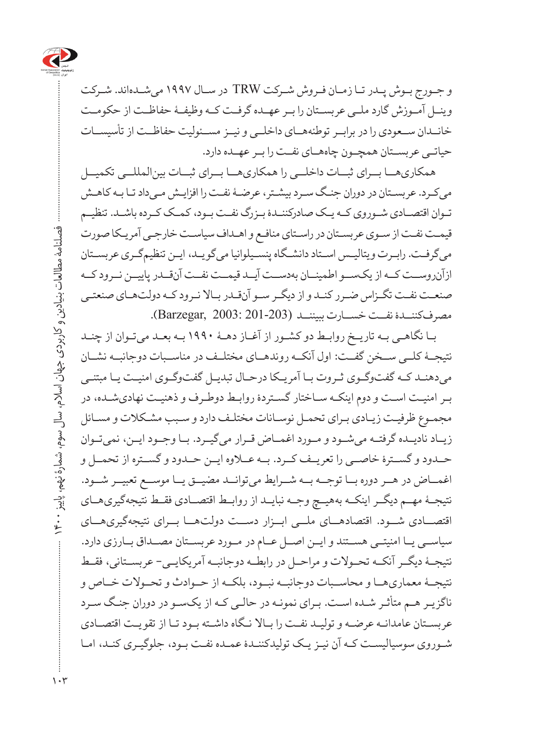

و جـورج بـوش پـدر تـا زمـان فـروش شـرکت TRW در سـال 1997 میشـدهاند. شـرکت وینــل آمــوزش گارد ملــی عربســتان را بــر عهــده گرفــت کــه وظیفــۀ حفاظــت از حکومــت خانــدان ســعودی را در برابــر توطئههــای داخلــی و نیــز مســئولیت حفاظــت از تأسیســات حیاتــی عربســتان همچــون چاههــای نفــت را بــر عهــده دارد.

 همکاریهــا بــرای ثبــات داخلــی را همکاریهــا بــرای ثبــات بینالمللــی تکمیــل میکـرد. عربسـتان در دوران جنـگ سـرد بیشـتر، عرضـۀ نفـت را افزایـش مـیداد تـا بـه کاهـش تـوان اقتصـادی شـوروی کـه یـک صادرکننـدۀ بـزرگ نفـت بـود، کمـک کـرده باشـد. تنظیـم قیمـت نفـت از سـوی عربسـتان در راسـتای منافـع و اهـداف سیاسـت خارجـی آمریـکا صورت میگرفـت. رابـرت ویتالیـس اسـتاد دانشـگاه پنسـیلوانیا میگویـد، ایـن تنظیمگـری عربسـتان ازآنروســت کــه از یکســو اطمینــان بهدســت آیــد قیمــت نفــت آنقــدر پاییــن نــرود کــه صنعـت نفـت تگـزاس ضـرر کنـد و از دیگـر سـو آنقـدر بـاال نـرود کـه دولتهـای صنعتـی مصرفکننــدۀ نفــت خســارت ببیننــد (201-203 2003: ,Barzegar).

 بـا نگاهـی بـه تاریـخ روابـط دو کشـور از آغـاز دهـۀ 1990 بـه بعـد میتـوان از چنـد نتیجــۀ کلــی ســخن گفــت: اول آنکــه روندهــای مختلــف در مناســبات دوجانبــه نشــان میدهنـد کـه گفتوگـوی ثـروت بـا آمریـکا درحـال تبدیـل گفتوگـوی امنیـت یـا مبتنـی بـر امنیـت اسـت و دوم اینکـه سـاختار گسـتردۀ روابـط دوطـرف و ذهنیـت نهادیشـده، در مجمـوع ظرفیـت زیـادی بـرای تحمـل نوسـانات مختلـف دارد و سـبب مشـکالت و مسـائل زیــاد نادیــده گرفتــه میشــود و مــورد اغمــاض قــرار میگیــرد. بــا وجــود ایــن، نمیتــوان حــدود و گســترۀ خاصــی را تعریــف کــرد. بــه عــاوه ایــن حــدود و گســتره از تحمــل و اغمــاض در هــر دوره بــا توجــه بــه شــرایط میتوانــد مضیــق یــا موســع تعبیــر شــود. نتیجــۀ مهــم دیگــر اینکــه بههیــچ وجــه نبایــد از روابــط اقتصــادی فقــط نتیجهگیریهــای اقتصــادی شــود. اقتصادهــای ملــی ابــزار دســت دولتهــا بــرای نتیجهگیریهــای سیاســی یــا امنیتــی هســتند و ایــن اصــل عــام در مــورد عربســتان مصــداق بــارزی دارد. نتیجــۀ دیگــر آنکــه تحــوالت و مراحــل در رابطــه دوجانبــه آمریکایــی- عربســتانی، فقــط نتیجــۀ معماریهــا و محاســبات دوجانبــه نبــود، بلکــه از حــوادث و تحــوالت خــاص و ناگزیـر هـم متأثـر شـده اسـت. بـرای نمونـه در حالـی کـه از یکسـو در دوران جنـگ سـرد عربسـتان عامدانـه عرضـه و تولیـد نفـت را بـاال نـگاه داشـته بـود تـا از تقویـت اقتصـادی شـوروی سوسیالیسـت کـه آن نیـز یـک تولیدکننـدۀ عمـده نفـت بـود، جلوگیـری کنـد، امـا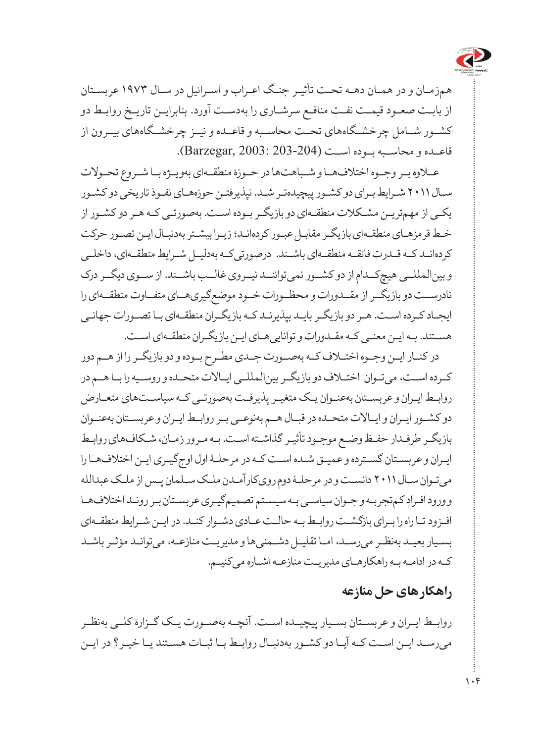

همزمـان و در همـان دهـه تحـت تأثیـر جنـگ اعـراب و اسـرائیل در سـال 1973 عربسـتان از بابـت صعـود قیمـت نفـت منافـع سرشـاری را بهدسـت آورد. بنابرایـن تاریـخ روابـط دو کشــور شــامل چرخشــگاههای تحــت محاســبه و قاعــده و نیــز چرخشــگاههای بیــرون از قاعــده و محاســبه بــوده اســت (203-204 2003: ,Barzegar).

عــاوه بــر وجــوه اختالفهــا و شــباهتها در حــوزۀ منطقــهای بهویــژه بــا شــروع تحــوالت سـال 2011 شـرایط بـرای دو کشـور پیچیدهتـر شـد. نپذیرفتـن حوزههـای نفـوذ تاریخی دو کشـور یکـی از مهمتریـن مشـکالت منطقـهای دو بازیگـر بـوده اسـت. بهصورتـی کـه هـر دو کشـور از خـط قرمزهـای منطقـهای بازیگـر مقابـل عبـور کردهانـد؛ زیـرا بیشـتر بهدنبـال ایـن تصـور حرکت کردهانـد کـه قـدرت فائقـه منطقـهای باشـند. درصورتیکـه بهدلیـل شـرایط منطقـهای، داخلـی و بینالمللــی هیچکــدام از دو کشــور نمیتواننــد نیــروی غالــب باشــند. از ســوی دیگــر درک نادرســت دو بازیگــر از مقــدورات و محظــورات خــود موضعگیریهــای متفــاوت منطقــهای را ایجـاد کـرده اسـت. هـر دو بازیگـر بایـد بپذیرنـد کـه بازیگـران منطقـهای بـا تصـورات جهانـی هسـتند. بـه ایـن معنـی کـه مقـدورات و تواناییهـای ایـن بازیگـران منطقـهای اسـت.

در کنـار ایـن وجـوه اختـاف کـه بهصـورت جـدی مطـرح بـوده و دو بازیگـر را از هـم دور کــرده اســت، میتــوان اختــاف دو بازیگــر بینالمللــی ایــاالت متحــده و روســیه را بــا هــم در روابـط ایـران و عربسـتان بهعنـوان یـک متغیـر پذیرفـت بهصورتـی کـه سیاسـتهای متعـارض دو کشــور ایــران و ایــاالت متحــده در قبــال هــم بهنوعــی بــر روابــط ایــران و عربســتان بهعنــوان بازیگـر طرفـدار حفـظ وضـع موجـود تأثیـر گذاشـته اسـت. بـه مـرور زمـان، شـکافهای روابـط ایـران و عربسـتان گسـترده و عمیـق شـده اسـت کـه در مرحلـۀ اول اوجگیـری ایـن اختالفهـا را میتـوان سـال 2011 دانسـت و در مرحلـۀ دوم رویکارآمـدن ملـک سـلمان پـس از ملـک عبدالله و ورود افـراد کمتجربـه و جـوان سیاسـی بـه سیسـتم تصمیمگیـری عربسـتان بـر رونـد اختالفهـا افـزود تـا راه را بـرای بازگشـت روابـط بـه حالـت عـادی دشـوار کنـد. در ایـن شـرایط منطقـهای بسـیار بعیـد بهنظـر میرسـد، امـا تقلیـل دشـمنیها و مدیریـت منازعـه، میتوانـد مؤثـر باشـد کـه در ادامـه بـه راهکارهـای مدیریـت منازعـه اشـاره میکنیـم.

#### **راهکارهای حل منازعه**

روابــط ایــران و عربســتان بســیار پیچیــده اســت. آنچــه بهصــورت یــک گــزارۀ کلــی بهنظــر میرسـد ایـن اسـت کـه آیـا دو کشـور بهدنبـال روابـط بـا ثبـات هسـتند یـا خیـر؟ در ایـن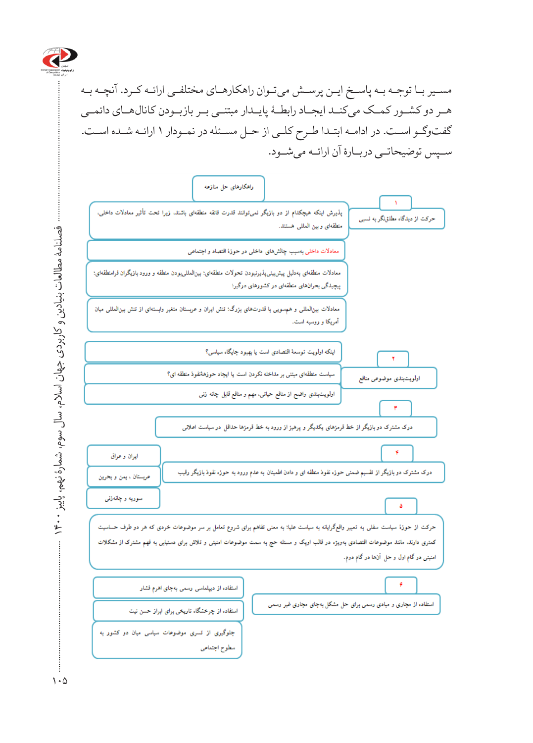

مسـیر بـا توجـه بـه پاسـخ ایـن پرسـش میتـوان راهکارهـای مختلفـی ارائـه کـرد. آنچـه بـه هــر دو کشــور کمــک میکنــد ایجــاد رابطــۀ پایــدار مبتنــی بــر بازبــودن کانالهــای دائمــی گفتوگـو اسـت. در ادامـه ابتـدا طـرح کلـی از حـل مسـئله در نمـودار 1 ارائـه شـده اسـت. ســپس توضیحاتــی دربــارۀ آن ارائــه میشــود.



سطوح اجتماعي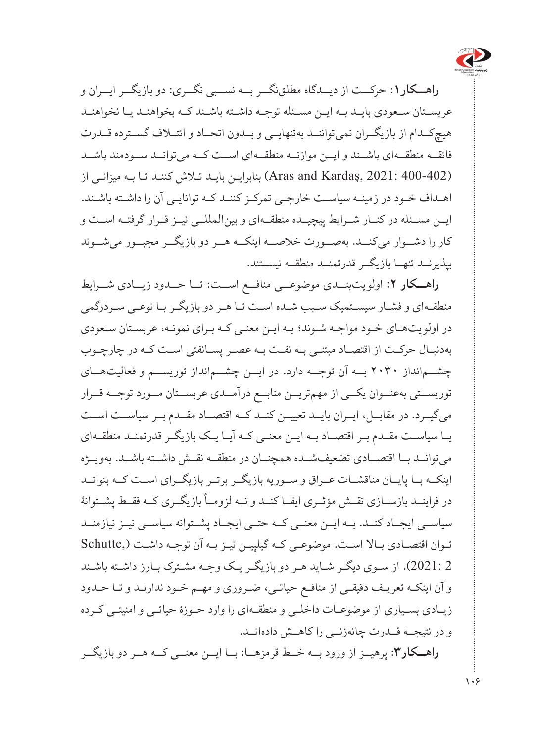

**راهــکار**:**1** حرکــت از دیــدگاه مطلقنگــر بــه نســبی نگــری: دو بازیگــر ایــران و عربسـتان سـعودی بایـد بـه ایـن مسـئله توجـه داشـته باشـند کـه بخواهنـد یـا نخواهنـد هیچکــدام از بازیگــران نمیتواننــد بهتنهایــی و بــدون اتحــاد و ائتــاف گســترده قــدرت فائقــه منطقــهای باشــند و ایــن موازنــه منطقــهای اســت کــه میتوانــد ســودمند باشــد )400-402 2021: ,Kardaş and Aras )بنابرایـن بایـد تـاش کننـد تـا بـه میزانـی از اهـداف خـود در زمینـه سیاسـت خارجـی تمرکـز کننـد کـه توانایـی آن را داشـته باشـند. ایــن مســئله در کنــار شــرایط پیچیــده منطقــهای و بینالمللــی نیــز قــرار گرفتــه اســت و کار را دشــوار میکنــد. بهصــورت خالصــه اینکــه هــر دو بازیگــر مجبــور میشــوند بپذیرنــد تنهــا بازیگــر قدرتمنــد منطقــه نیســتند.

**راهــکار :2** اولو یتبنــدی موضوعــی منافــع اســت: تــا حــدود زیــادی شــرایط منطقـهای و فشـار سیسـتمیک سـبب شـده اسـت تـا هـر دو بازیگـر بـا نوعـی سـردرگمی در اولو یتهـای خـود مواجـه شـوند؛ بـه ایـن معنـی کـه بـرای نمونـه، عربسـتان سـعودی بهدنبـال حرکـت از اقتصـاد مبتنـی بـه نفـت بـه عصـر پسـانفتی اسـت کـه در چارچـوب چشــمانداز 2030 بــه آن توجــه دارد. در ایــن چشــمانداز توریســم و فعالیتهــای توریســتی بهعنــوان یکــی از مهمتریــن منابــع درآمــدی عربســتان مــورد توجــه قــرار میگیــرد. در مقابــل، ایــران بایــد تعییــن کنــد کــه اقتصــاد مقــدم بــر سیاســت اســت یــا سیاســت مقــدم بــر اقتصــاد بــه ایــن معنــی کــه آیــا یــک بازیگــر قدرتمنــد منطقــهای میتوانــد بــا اقتصــادی تضعیفشــده همچنــان در منطقــه نقــش داشــته باشــد. بهویــژه اینکــه بــا پایــان مناقشــات عــراق و ســوریه بازیگــر برتــر بازیگــرای اســت کــه بتوانــد در فراینــد بازســازی نقــش مؤثــری ایفــا کنــد و نــه لزومــاً بازیگــری کــه فقــط پشــتوانۀ سیاســی ایجــاد کنــد. بــه ایــن معنــی کــه حتــی ایجــاد پشــتوانه سیاســی نیــز نیازمنــد تـوان اقتصـادی بـاال اسـت. موضوعـی کـه گیلپیـن نیـز بـه آن توجـه داشـت ),Schutte 2 2021:(. از سـوی دیگـر شـاید هـر دو بازیگـر یـک وجـه مشـترک بـارز داشـته باشـند و آن اینکـه تعریـف دقیقـی از منافـع حیاتـی، ضـروری و مهـم خـود ندارنـد و تـا حـدود زیـادی بسـیاری از موضوعـات داخلـی و منطقـهای را وارد حـوزۀ حیاتـی و امنیتـی کـرده و در نتیجــه قــدرت چانهزنــی را کاهــش دادهانــد. **راهــکار**:**3** پرهیــز از ورود بــه خــط قرمزهــا: بــا ایــن معنــی کــه هــر دو بازیگــر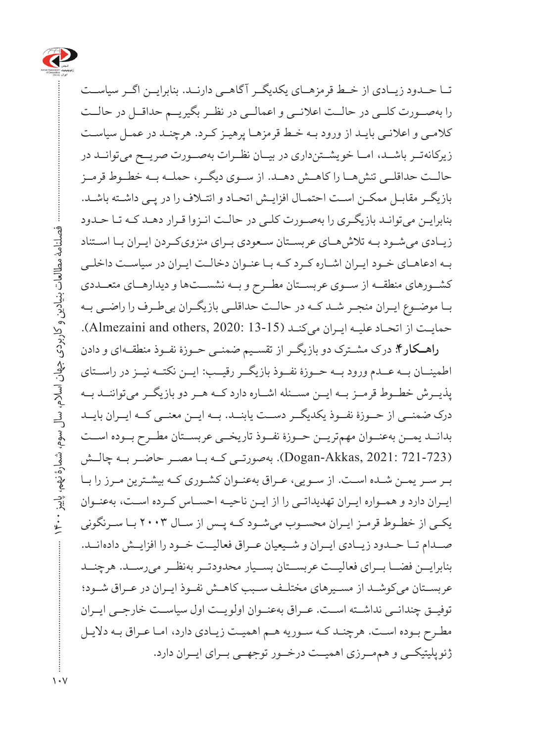

تــا حــدود زیــادی از خــط قرمزهــای یکدیگــر آ گاهــی دارنــد. بنابرایــن اگــر سیاســت را بهصــورت کلــی در حالــت اعالنــی و اعمالــی در نظــر بگیریــم حداقــل در حالــت کالمـی و اعالنـی بایـد از ورود بـه خـط قرمزهـا پرهیـز کـرد. هرچنـد در عمـل سیاسـت زیرکانهتــر باشــد، امــا خو یشــتنداری در بیــان نظــرات بهصــورت صریــح میتوانــد در حالــت حداقلــی تنشهــا را کاهــش دهــد. از ســوی دیگــر، حملــه بــه خطــوط قرمــز بازیگـر مقابـل ممکـن اسـت احتمـال افزایـش اتحـاد و ائتـاف را در پـی داشـته باشـد. بنابرایـن میتوانـد بازیگـری را بهصـورت کلـی در حالـت انـزوا قـرار دهـد کـه تـا حـدود زیــادی میشــود بــه تالشهــای عربســتان ســعودی بــرای منزویکــردن ایــران بــا اســتناد بـه ادعاهـای خـود ایـران اشـاره کـرد کـه بـا عنـوان دخالـت ایـران در سیاسـت داخلـی کشــورهای منطقــه از ســوی عربســتان مطــرح و بــه نشســتها و دیدارهــای متعــددی بــا موضــوع ایــران منجــر شــد کــه در حالــت حداقلــی بازیگــران بیطــرف را راضــی بــه حمایـت از اتحـاد علیـه ایـران می کنـد (13-13 Almezaini and others, 2020: 13).

**راهــکار**:**4** درک مشــترک دو بازیگــر از تقســیم ضمنــی حــوزۀ نفــوذ منطقــهای و دادن اطمینــان بــه عــدم ورود بــه حــوزۀ نفــوذ بازیگــر رقیــب: ایــن نکتــه نیــز در راســتای پذیــرش خطــوط قرمــز بــه ایــن مســئله اشــاره دارد کــه هــر دو بازیگــر میتواننــد بــه درک ضمنــی از حــوزۀ نفــوذ یکدیگــر دســت یابنــد. بــه ایــن معنــی کــه ایــران بایــد بدانــد یمــن بهعنــوان مهمتریــن حــوزۀ نفــوذ تاریخــی عربســتان مطــرح بــوده اســت )721-723 2021: ,Akkas-Dogan). بهصورتــی کــه بــا مصــر حاضــر بــه چالــش بـر سـر یمـن شـده اسـت. از سـو یی، عـراق بهعنـوان کشـوری کـه بیشـترین مـرز را بـا ایــران دارد و همــواره ایــران تهدیداتــی را از ایــن ناحیــه احســاس کــرده اســت، بهعنــوان یکـی از خطـوط قرمـز ایـران محسـوب میشـود کـه پـس از سـال 2003 بـا سـرنگونی صــدام تــا حــدود زیــادی ایــران و شــیعیان عــراق فعالیــت خــود را افزایــش دادهانــد. بنابرایــن فضــا بــرای فعالیــت عربســتان بســیار محدودتــر بهنظــر میرســد. هرچنــد عربســتان میکوشــد از مســیرهای مختلــف ســبب کاهــش نفــوذ ایــران در عــراق شــود؛ توفیــق چندانــی نداشــته اســت. عــراق بهعنــوان اولو یــت اول سیاســت خارجــی ایــران مطـرح بـوده اسـت. هرچنـد کـه سـوریه هـم اهمیـت زیـادی دارد، امـا عـراق بـه دالیـل ژئو پلیتیکــی و هممــرزی اهمیــت درخــور توجهــی بــرای ایــران دارد.

فصلنامۀ مطالعات بنیادین و کاربردی جهان اسالم، سال سوم، شمارۀ نهم، پاییز 1400

 $\vec{a}$  $\sum_{i=1}^{n}$ 

فصلنامهٔ مطالعات بنیادین و کاربردی جهان اسلام، سال سوم، شمارهٔ نهم،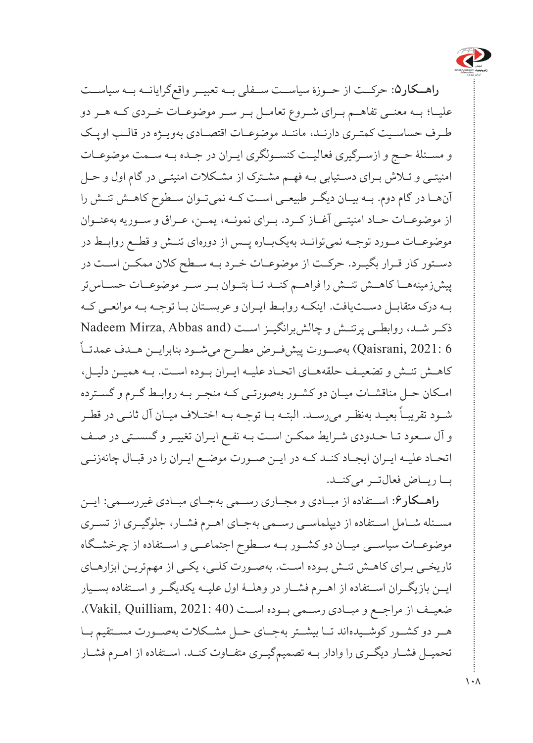

**راهــکار**:**5** حرکــت از حــوزۀ سیاســت ســفلی بــه تعبیــر واقعگرایانــه بــه سیاســت علیــا؛ بــه معنــی تفاهــم بــرای شــروع تعامــل بــر ســر موضوعــات خــردی کــه هــر دو طـرف حساسـیت کمتـری دارنـد، ماننـد موضوعـات اقتصـادی بهویـژه در قالـب اوپـک و مســئلۀ حــج و ازســرگیری فعالیــت کنســولگری ایــران در جــده بــه ســمت موضوعــات امنیتـی و تـاش بـرای دسـتیابی بـه فهـم مشـترک از مشـکالت امنیتـی در گام اول و حـل آنهــا در گام دوم. بــه بیــان دیگــر طبیعــی اســت کــه نمیتــوان ســطوح کاهــش تنــش را از موضوعــات حــاد امنیتــی آغــاز کــرد. بــرای نمونــه، یمــن، عــراق و ســوریه بهعنــوان موضوعــات مــورد توجــه نمیتوانــد بهیکبــاره پــس از دورهای تنــش و قطــع روابــط در دســتور کار قــرار بگیــرد. حرکــت از موضوعــات خــرد بــه ســطح کالن ممکــن اســت در پیشزمینههــا کاهــش تنــش را فراهــم کنــد تــا بتــوان بــر ســر موضوعــات حســاستر بــه درک متقابــل دســتیافت. اینکــه روابــط ایــران و عربســتان بــا توجــه بــه موانعــی کــه ذکـر شـد، روابطـی پرتنـش و چالشبرانگیـز اسـت (Nadeem Mirza, Abbas and 6 2021: ,Qaisrani )بهصــورت پیشفــرض مطــرح میشــود بنابرایــن هــدف عمدتــا کاهــش تنــش و تضعیــف حلقههــای اتحــاد علیــه ایــران بــوده اســت. بــه همیــن دلیــل، امـکان حـل مناقشـات میـان دو کشـور بهصورتـی کـه منجـر بـه روابـط گـرم و گسـترده شـود تقریبـاً بعیـد بهنظـر میرسـد. البتـه بــا توجـه بــه اختــلاف میــان آل ثانـی در قطــر و آل سـعود تـا حـدودی شـرایط ممکـن اسـت بـه نفـع ایـران تغییـر و گسسـتی در صـف اتحــاد علیــه ایــران ایجــاد کنــد کــه در ایــن صــورت موضــع ایــران را در قبــال چانهزنــی بــا ریــاض فعالتــر میکنــد.

**راهــکار**:**6** اســتفاده از مبــادی و مجــاری رســمی بهجــای مبــادی غیررســمی: ایــن مســئله شــامل اســتفاده از دیپلماســی رســمی بهجــای اهــرم فشــار، جلوگیــری از تســری موضوعــات سیاســی میــان دو کشــور بــه ســطوح اجتماعــی و اســتفاده از چرخشــگاه تاریخـی بـرای کاهـش تنـش بـوده اسـت. بهصـورت کلـی، یکـی از مهمتریـن ابزارهـای ایــن بازیگــران اســتفاده از اهــرم فشــار در وهلــۀ اول علیــه یکدیگــر و اســتفاده بســیار ضعیــف از مراجــع و مبــادی رســمی بــوده اســت )40 2021: ,Quilliam ,Vakil). هــر دو کشــور کوشــیدهاند تــا بیشــتر بهجــای حــل مشــکالت بهصــورت مســتقیم بــا تحمیــل فشــار دیگــری را وادار بــه تصمیمگیــری متفــاوت کنــد. اســتفاده از اهــرم فشــار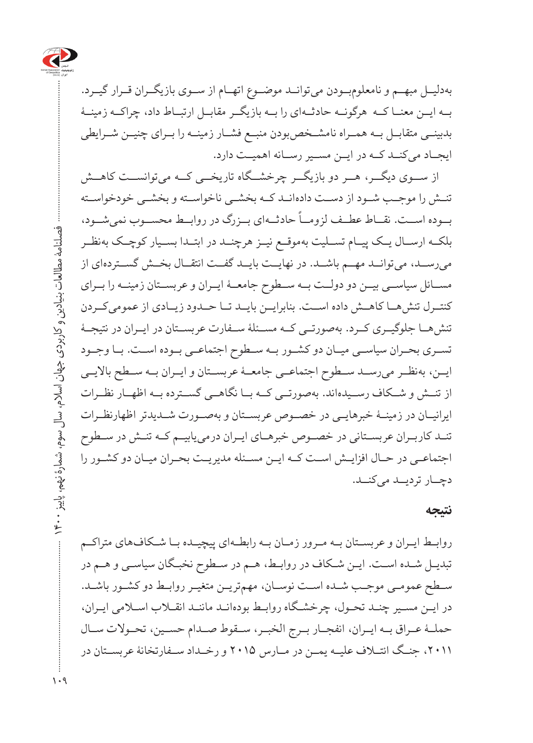

بهدلیــل مبهــم و نامعلومبــودن میتوانــد موضــوع اتهــام از ســوی بازیگــران قــرار گیــرد. بــه ایــن معنــا کــه هرگونــه حادثــهای را بــه بازیگــر مقابــل ارتبــاط داد، چراکــه زمینــۀ بدبینــی متقابــل بــه همــراه نامشــخصبودن منبــع فشــار زمینــه را بــرای چنیــن شــرایطی ایجــاد میکنــد کــه در ایــن مســیر رســانه اهمیــت دارد.

از ســوی دیگــر، هــر دو بازیگــر چرخشــگاه تاریخــی کــه میتوانســت کاهــش تنــش را موجــب شــود از دســت دادهانــد کــه بخشــی ناخواســته و بخشــی خودخواســته ً حادثــهای بــزرگ در روابــط محســوب نمیشــود، بــوده اســت. نقــاط عطــف لزومــا بلکــه ارســال یــک پیــام تســلیت بهموقــع نیــز هرچنــد در ابتــدا بســیار کوچــک بهنظــر میرســد، میتوانــد مهــم باشــد. در نهایــت بایــد گفــت انتقــال بخــش گســتردهای از مســائل سیاســی بیــن دو دولــت بــه ســطوح جامعــۀ ایــران و عربســتان زمینــه را بــرای کنتــرل تنشهــا کاهــش داده اســت. بنابرایــن بایــد تــا حــدود زیــادی از عمومیکــردن تنشهــا جلوگیــری کــرد. بهصورتــی کــه مســئلۀ ســفارت عربســتان در ایــران در نتیجــۀ تســری بحــران سیاســی میــان دو کشــور بــه ســطوح اجتماعــی بــوده اســت. بــا وجــود ایــن، بهنظــر میرســد ســطوح اجتماعــی جامعــۀ عربســتان و ایــران بــه ســطح باالیــی از تنــش و شــکاف رســیدهاند. بهصورتــی کــه بــا نگاهــی گســترده بــه اظهــار نظــرات ایرانیــان در زمینــۀ خبرهایــی در خصــوص عربســتان و بهصــورت شــدیدتر اظهارنظــرات تنــد کاربــران عربســتانی در خصــوص خبرهــای ایــران درمییابیــم کــه تنــش در ســطوح اجتماعــی در حــال افزایــش اســت کــه ایــن مســئله مدیریــت بحــران میــان دو کشــور را دچــار تردیــد میکنــد.

#### **نتیجه**

روابــط ایــران و عربســتان بــه مــرور زمــان بــه رابطــهای پیچیــده بــا شــکافهای متراکــم تبدیـل شـده اسـت. ایـن شـکاف در روابـط، هـم در سـطوح نخبـگان سیاسـی و هـم در سـطح عمومـی موجـب شـده اسـت نوسـان، مهمتریـن متغیـر روابـط دو کشـور باشـد. در ایـن مسـیر چنـد تحـول، چرخشـگاه روابـط بودهانـد ماننـد انقـاب اسـامی ایـران، حملــۀ عــراق بــه ایــران، انفجــار بــرج الخبــر، ســقوط صــدام حســین، تحــوالت ســال ،2011 جنــگ ائتــاف علیــه یمــن در مــارس 2015 و رخــداد ســفارتخانۀ عربســتان در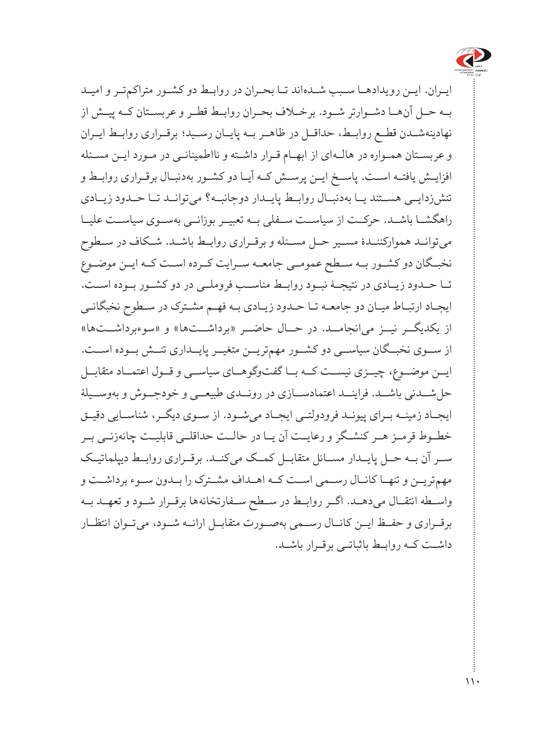

ایــران. ایــن رویدادهــا سـبب شــدهاند تــا بحـران در روابــط دو کشــور متراکمتـر و امیــد بــه حــل آنهــا دشــوارتر شــود. برخــاف بحــران روابــط قطــر و عربســتان کــه پیــش از نهادینهشــدن قطــع روابــط، حداقــل در ظاهــر بــه پایــان رســید؛ برقــراری روابــط ایــران و عربسـتان همـواره در هالـهای از ابهـام قـرار داشـته و نااطمینانـی در مـورد ایـن مسـئله افزایــش یافتــه اســت. پاســخ ایــن پرســش کــه آیــا دو کشــور بهدنبــال برقــراری روابــط و تنشزدایــی هســتند یــا بهدنبــال روابــط پایــدار دوجانبــه؟ میتوانــد تــا حــدود زیــادی راهگشــا باشــد. حرکــت از سیاســت ســفلی بــه تعبیــر بوزانــی بهســوی سیاســت علیــا میتوانــد هموارکننــدۀ مســیر حــل مســئله و برقــراری روابــط باشــد. شــکاف در ســطوح نخبــگان دو کشــور بــه ســطح عمومــی جامعــه ســرایت کــرده اســت کــه ایــن موضــوع تــا حــدود زیــادی در نتیجــۀ نبــود روابــط مناســب فروملــی در دو کشــور بــوده اســت. ایجـاد ارتبـاط میـان دو جامعـه تـا حـدود زیـادی بـه فهـم مشـترک در سـطوح نخبگانـی از یکدیگــر نیــز میانجامــد. در حــال حاضــر »برداشــتها« و »سوءبرداشــتها« از ســوی نخبــگان سیاســی دو کشــور مهمتریــن متغیــر پایــداری تنــش بــوده اســت. ایــن موضــوع، چیــزی نیســت کــه بــا گفتوگوهــای سیاســی و قــول اعتمــاد متقابــل حلشــدنی باشــد. فراینــد اعتمادســازی در رونــدی طبیعــی و خودجــوش و بهوســیلۀ ایجــاد زمینــه بــرای پیونــد فرودولتــی ایجــاد میشــود. از ســوی دیگــر، شناســایی دقیــق خطــوط قرمــز هــر کنشــگر و رعایــت آن یــا در حالــت حداقلــی قابلیــت چانهزنــی بــر ســر آن بــه حــل پایــدار مســائل متقابــل کمــک میکنــد. برقــراری روابــط دیپلماتیــک مهمتریــن و تنهــا کانــال رســمی اســت کــه اهــداف مشــترک را بــدون ســوء برداشــت و واســطه انتقــال میدهــد. اگــر روابــط در ســطح ســفارتخانهها برقــرار شــود و تعهــد بــه برقــراری و حفــظ ایــن کانــال رســمی بهصــورت متقابــل ارائــه شــود، میتــوان انتظــار داشــت کــه روابــط باثباتــی برقــرار باشــد.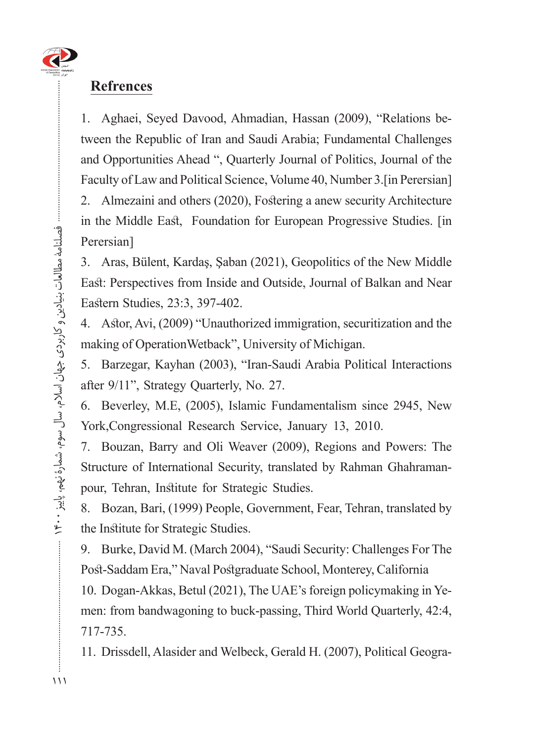

#### **Refrences**

tween the Republic of Iran and Saudi Arabia; Fundamental Challenges 1. Aghaei, Seyed Davood, Ahmadian, Hassan (2009), "Relations beand Opportunities Ahead ", Quarterly Journal of Politics, Journal of the Faculty of Law and Political Science, Volume 40, Number 3. [in Perersian] 2. Almezaini and others (2020), Fostering a anew security Architecture in the Middle East, Foundation for European Progressive Studies. [in Perersian]

3. Aras, Bülent, Kardaş, Şaban (2021), Geopolitics of the New Middle East: Perspectives from Inside and Outside, Journal of Balkan and Near Eastern Studies, 23:3, 397-402.

4. Astor, Avi, (2009) "Unauthorized immigration, securitization and the making of OperationWetback", University of Michigan.

5. Barzegar, Kayhan (2003), "Iran-Saudi Arabia Political Interactions after  $9/11$ ", Strategy Quarterly, No. 27.

6. Beverley, M.E, (2005), Islamic Fundamentalism since 2945, New York, Congressional Research Service, January 13, 2010.

7. Bouzan, Barry and Oli Weaver (2009), Regions and Powers: The Structure of International Security, translated by Rahman Ghahraman-<br>pour, Tehran, Institute for Strategic Studies.

8. Bozan, Bari, (1999) People, Government, Fear, Tehran, translated by the Institute for Strategic Studies.

9. Burke, David M. (March 2004), "Saudi Security: Challenges For The Post-Saddam Era," Naval Postgraduate School, Monterey, California

men: from bandwagoning to buck-passing, Third World Quarterly, 42:4, 10. Dogan-Akkas, Betul (2021), The UAE's foreign policymaking in Ye-717-735.

11. Drissdell, Alasider and Welbeck, Gerald H. (2007), Political Geogra-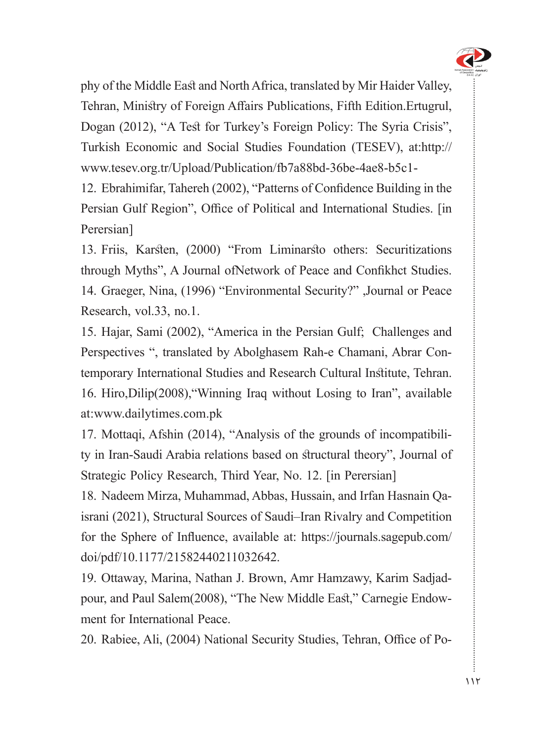

phy of the Middle East and North Africa, translated by Mir Haider Valley, Tehran, Ministry of Foreign Affairs Publications, Fifth Edition. Ertugrul, Dogan (2012), "A Test for Turkey's Foreign Policy: The Syria Crisis", Turkish Economic and Social Studies Foundation (TESEV), at:http:// www.tesev.org.tr/Upload/Publication/fb7a88bd-36be-4ae8-b5c1-

12. Ebrahimifar, Tahereh (2002), "Patterns of Confidence Building in the Persian Gulf Region", Office of Political and International Studies. [in] Perersian]

13. Friis, Karsten, (2000) "From Liminarsto others: Securitizations through Myths". A Journal ofNetwork of Peace and Confikhct Studies. 14. Graeger, Nina, (1996) "Environmental Security?" Journal or Peace Research, vol.33, no.1.

15. Hajar, Sami (2002), "America in the Persian Gulf; Challenges and Perspectives ", translated by Abolghasem Rah-e Chamani, Abrar Con-<br>temporary International Studies and Research Cultural Institute, Tehran. 16. Hiro, Dilip(2008), "Winning Iraq without Losing to Iran", available at:www.dailytimes.com.pk

ty in Iran-Saudi Arabia relations based on structural theory", Journal of 17. Mottaqi, Afshin (2014), "Analysis of the grounds of incompatibili-Strategic Policy Research, Third Year, No. 12. [in Perersian]

israni (2021), Structural Sources of Saudi–Iran Rivalry and Competition 18. Nadeem Mirza, Muhammad, Abbas, Hussain, and Irfan Hasnain Qafor the Sphere of Influence, available at: https://journals.sagepub.com/ doi/pdf[/10.1177/21582440211032642](https://journals.sagepub.com/doi/pdf/10.1177/21582440211032642).

pour, and Paul Salem(2008), "The New Middle East," Carnegie Endow-<br>ment for International Peace. 19. Ottaway, Marina, Nathan J. Brown, Amr Hamzawy, Karim Sadjad-<br>pour, and Paul Salem (2008), "The New Middle East," Carnegie Endow-19. Ottaway, Marina, Nathan J. Brown, Amr Hamzawy, Karim Sadjad-

20. Rabiee, Ali, (2004) National Security Studies, Tehran, Office of Po-